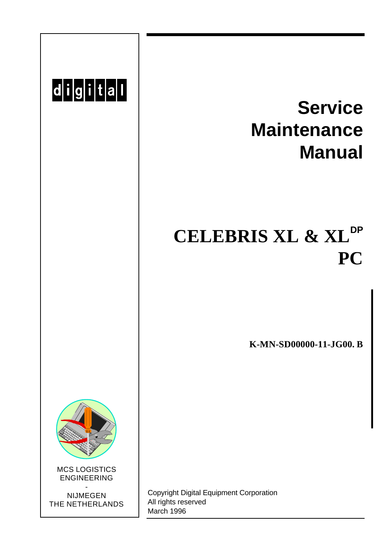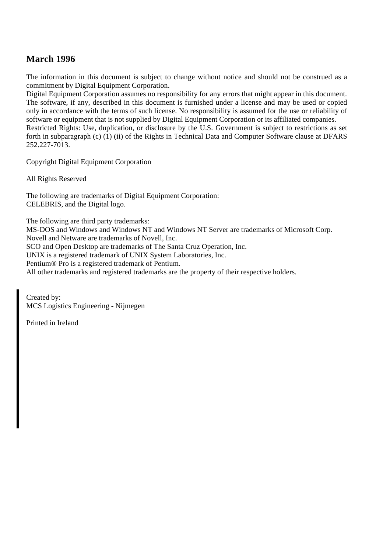#### **March 1996**

The information in this document is subject to change without notice and should not be construed as a commitment by Digital Equipment Corporation.

Digital Equipment Corporation assumes no responsibility for any errors that might appear in this document. The software, if any, described in this document is furnished under a license and may be used or copied only in accordance with the terms of such license. No responsibility is assumed for the use or reliability of software or equipment that is not supplied by Digital Equipment Corporation or its affiliated companies. Restricted Rights: Use, duplication, or disclosure by the U.S. Government is subject to restrictions as set forth in subparagraph (c) (1) (ii) of the Rights in Technical Data and Computer Software clause at DFARS 252.227-7013.

Copyright Digital Equipment Corporation

All Rights Reserved

The following are trademarks of Digital Equipment Corporation: CELEBRIS, and the Digital logo.

The following are third party trademarks:

MS-DOS and Windows and Windows NT and Windows NT Server are trademarks of Microsoft Corp. Novell and Netware are trademarks of Novell, Inc.

SCO and Open Desktop are trademarks of The Santa Cruz Operation, Inc.

UNIX is a registered trademark of UNIX System Laboratories, Inc.

Pentium® Pro is a registered trademark of Pentium.

All other trademarks and registered trademarks are the property of their respective holders.

Created by: MCS Logistics Engineering - Nijmegen

Printed in Ireland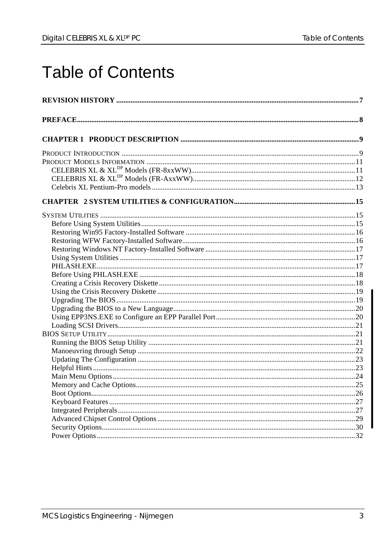# **Table of Contents**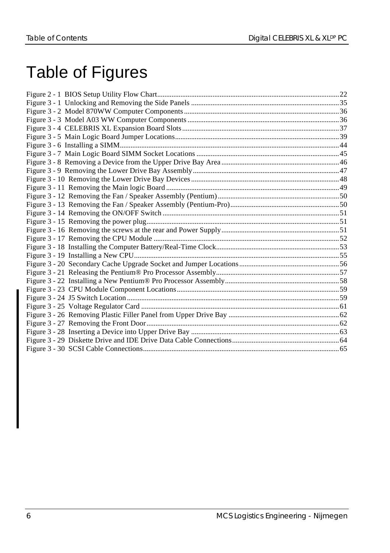# Table of Figures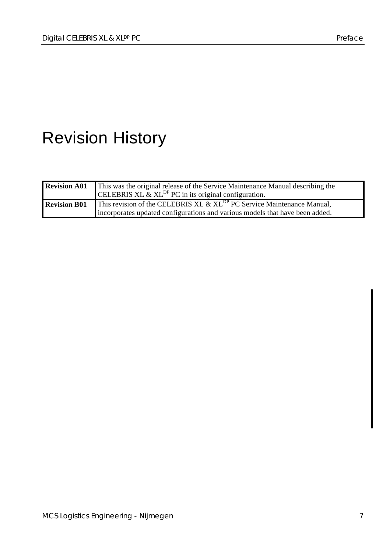# Revision History

| <b>Revision A01</b> | This was the original release of the Service Maintenance Manual describing the<br>CELEBRIS XL & XL <sup>DP</sup> PC in its original configuration.                    |
|---------------------|-----------------------------------------------------------------------------------------------------------------------------------------------------------------------|
| <b>Revision B01</b> | This revision of the CELEBRIS XL $\&$ XL <sup>DP</sup> PC Service Maintenance Manual,<br>incorporates updated configurations and various models that have been added. |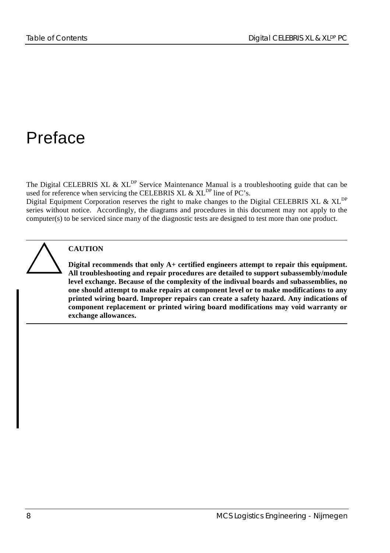# Preface

The Digital CELEBRIS XL & XL<sup>DP</sup> Service Maintenance Manual is a troubleshooting guide that can be used for reference when servicing the CELEBRIS XL & XL<sup>DP</sup> line of PC's.

Digital Equipment Corporation reserves the right to make changes to the Digital CELEBRIS XL & XL<sup>DP</sup> series without notice. Accordingly, the diagrams and procedures in this document may not apply to the computer(s) to be serviced since many of the diagnostic tests are designed to test more than one product.



#### **CAUTION**

**Digital recommends that only A+ certified engineers attempt to repair this equipment. All troubleshooting and repair procedures are detailed to support subassembly/module level exchange. Because of the complexity of the indivual boards and subassemblies, no one should attempt to make repairs at component level or to make modifications to any printed wiring board. Improper repairs can create a safety hazard. Any indications of component replacement or printed wiring board modifications may void warranty or exchange allowances.**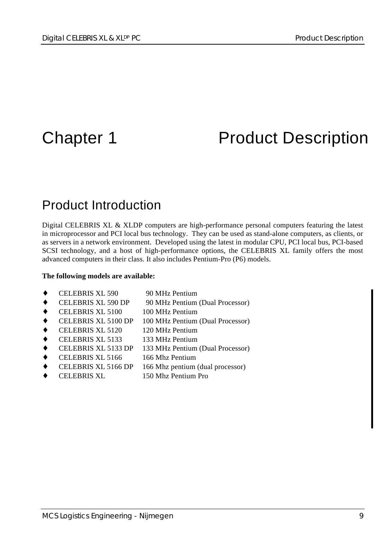# Chapter 1 **Product Description**

### Product Introduction

Digital CELEBRIS XL & XLDP computers are high-performance personal computers featuring the latest in microprocessor and PCI local bus technology. They can be used as stand-alone computers, as clients, or as servers in a network environment. Developed using the latest in modular CPU, PCI local bus, PCI-based SCSI technology, and a host of high-performance options, the CELEBRIS XL family offers the most advanced computers in their class. It also includes Pentium-Pro (P6) models.

#### **The following models are available:**

- CELEBRIS XL 590 90 MHz Pentium
- CELEBRIS XL 590 DP 90 MHz Pentium (Dual Processor)
- CELEBRIS XL 5100 100 MHz Pentium
- CELEBRIS XL 5100 DP 100 MHz Pentium (Dual Processor)
- CELEBRIS XL 5120 120 MHz Pentium
- CELEBRIS XL 5133 133 MHz Pentium
- ♦ CELEBRIS XL 5133 DP 133 MHz Pentium (Dual Processor)
- CELEBRIS XL 5166 166 Mhz Pentium
- CELEBRIS XL 5166 DP 166 Mhz pentium (dual processor)
- CELEBRIS XL 150 Mhz Pentium Pro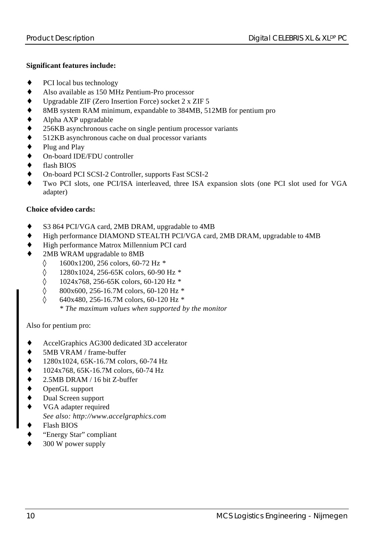#### **Significant features include:**

- ♦ PCI local bus technology
- ♦ Also available as 150 MHz Pentium-Pro processor
- Upgradable ZIF (Zero Insertion Force) socket 2 x ZIF 5
- 8MB system RAM minimum, expandable to 384MB, 512MB for pentium pro
- Alpha AXP upgradable
- 256KB asynchronous cache on single pentium processor variants
- ♦ 512KB asynchronous cache on dual processor variants
- Plug and Play
- On-board IDE/FDU controller
- flash BIOS
- On-board PCI SCSI-2 Controller, supports Fast SCSI-2
- Two PCI slots, one PCI/ISA interleaved, three ISA expansion slots (one PCI slot used for VGA adapter)

#### **Choice ofvideo cards:**

- ♦ S3 864 PCI/VGA card, 2MB DRAM, upgradable to 4MB
- ♦ High performance DIAMOND STEALTH PCI/VGA card, 2MB DRAM, upgradable to 4MB
- ♦ High performance Matrox Millennium PCI card
- 2MB WRAM upgradable to 8MB
	- ◊ 1600x1200, 256 colors, 60-72 Hz *\**
	- ◊ 1280x1024, 256-65K colors, 60-90 Hz *\**
	- ◊ 1024x768, 256-65K colors, 60-120 Hz *\**
	- ◊ 800x600, 256-16.7M colors, 60-120 Hz *\**
	- ◊ 640x480, 256-16.7M colors, 60-120 Hz *\**
		- *\* The maximum values when supported by the monitor*

#### Also for pentium pro:

- AccelGraphics AG300 dedicated 3D accelerator
- 5MB VRAM / frame-buffer
- 
- → 1280x1024, 65K-16.7M colors, 60-74 Hz<br>
→ 1024x768, 65K-16.7M colors, 60-74 Hz<br>
→ 2.5MB DRAM / 16 bit Z-buffer<br>
→ OpenGL support<br>
→ Dual Screen support<br>
→ VGA adapter required ♦ 1024x768, 65K-16.7M colors, 60-74 Hz
- 2.5MB DRAM / 16 bit Z-buffer
- OpenGL support
- Dual Screen support
- VGA adapter required *See also: http://www.accelgraphics.com*
- **Flash BIOS**
- "Energy Star" compliant
- 300 W power supply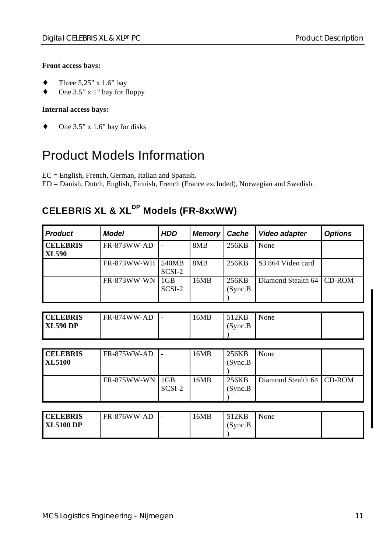#### **Front access bays:**

- Three  $5,25$ " x  $1.6$ " bay
- One 3.5" x 1" bay for floppy

#### **Internal access bays:**

 $\bullet$  One 3.5" x 1.6" bay for disks

### Product Models Information

EC = English, French, German, Italian and Spanish.

ED = Danish, Dutch, English, Finnish, French (France excluded), Norwegian and Swedish.

### **CELEBRIS XL & XLDP Models (FR-8xxWW)**

| <b>Product</b>                     | <b>Model</b>                                                                    | <b>HDD</b>      | <b>Memory</b>    | Cache             | Video adapter                 | <b>Options</b> |
|------------------------------------|---------------------------------------------------------------------------------|-----------------|------------------|-------------------|-------------------------------|----------------|
| <b>CELEBRIS</b><br><b>XL590</b>    | FR-873WW-AD                                                                     |                 | 8MB              | 256KB             | None                          |                |
|                                    | FR-873WW-WH                                                                     | 540MB<br>SCSI-2 | 8MB              | 256KB             | S <sub>3</sub> 864 Video card |                |
|                                    | <b>FR-873WW-WN</b>                                                              | 1GB<br>SCSI-2   | 16MB             | 256KB<br>(Sync.B) | Diamond Stealth 64            | <b>CD-ROM</b>  |
|                                    |                                                                                 |                 |                  |                   |                               |                |
| <b>CELEBRIS</b><br><b>XL590 DP</b> | FR-874WW-AD                                                                     |                 | 16MB             | 512KB<br>(Sync.B) | None                          |                |
|                                    |                                                                                 |                 |                  |                   |                               |                |
| <b>CELEBRIS</b><br><b>XL5100</b>   | <b>FR-875WW-AD</b>                                                              |                 | 16MB             | 256KB<br>(Sync.B) | None                          |                |
|                                    | <b>FR-875WW-WN</b>                                                              | 1GB<br>SCSI-2   | 16MB             | 256KB<br>(Sync.B) | Diamond Stealth 64            | CD-ROM         |
|                                    |                                                                                 |                 |                  |                   |                               |                |
| CUTEDD                             | $F_{\mathbf{D}}$ $\theta$ $\theta$ $\theta$ $\theta$ $\theta$ $\theta$ $\theta$ |                 | $1/3$ $\sqrt{D}$ | 510T              | $\mathbf{A}$                  |                |

| <b>CELEBRIS</b>  | FR-876WW-AD | . . | l 6MB | 512KB         | None |  |
|------------------|-------------|-----|-------|---------------|------|--|
| <b>XL5100 DP</b> |             |     |       | $(S$ vnc. $B$ |      |  |
|                  |             |     |       |               |      |  |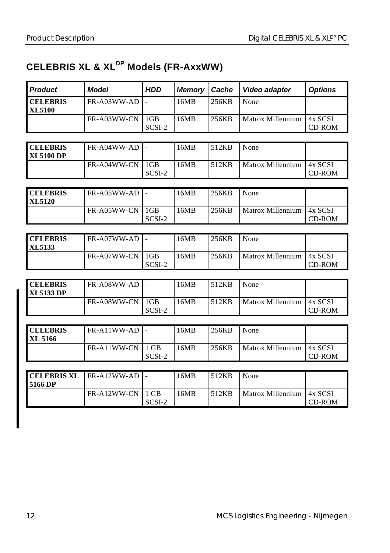### **CELEBRIS XL & XLDP Models (FR-AxxWW)**

| <b>Product</b>                      | <b>Model</b> | <b>HDD</b>                | <b>Memory</b> | Cache | Video adapter     | <b>Options</b>           |
|-------------------------------------|--------------|---------------------------|---------------|-------|-------------------|--------------------------|
| <b>CELEBRIS</b><br><b>XL5100</b>    | FR-A03WW-AD  |                           | 16MB          | 256KB | None              |                          |
|                                     | FR-A03WW-CN  | 1 <sub>GB</sub><br>SCSI-2 | 16MB          | 256KB | Matrox Millennium | 4x SCSI<br>CD-ROM        |
|                                     |              |                           |               |       |                   |                          |
| <b>CELEBRIS</b><br><b>XL5100 DP</b> | FR-A04WW-AD  |                           | 16MB          | 512KB | None              |                          |
|                                     | FR-A04WW-CN  | 1 <sub>GB</sub><br>SCSI-2 | 16MB          | 512KB | Matrox Millennium | 4x SCSI<br><b>CD-ROM</b> |

| <b>CELEBRIS</b><br><b>XL5120</b> | $FR-A05WW-AD$ - |        | 16MB | 256KB | None              |                    |
|----------------------------------|-----------------|--------|------|-------|-------------------|--------------------|
|                                  | FR-A05WW-CN 1GB | SCSI-2 | 16MB | 256KB | Matrox Millennium | 14x SCSI<br>CD-ROM |

| <b>CELEBRIS</b><br>XL5133 | $FR-A07WW-AD$ - |        | 16MB | 256KB | None                |                    |
|---------------------------|-----------------|--------|------|-------|---------------------|--------------------|
|                           | FR-A07WW-CN 1GB | SCSI-2 | 16MB | 256KB | l Matrox Millennium | 14x SCSI<br>CD-ROM |

| <b>CELEBRIS</b><br><b>XL5133 DP</b> | $FR-A08WW-AD$ $-$ |        | 16MB | 512KB | None                       |        |
|-------------------------------------|-------------------|--------|------|-------|----------------------------|--------|
|                                     | FR-A08WW-CN 1GB   | SCSI-2 | 16MB | 512KB | Matrox Millennium 14x SCSI | CD-ROM |

| <b>CELEBRIS</b> | $FR-A11WW-AD$ $\blacksquare$ |        | 16MB | 256KB | None                       |        |
|-----------------|------------------------------|--------|------|-------|----------------------------|--------|
| <b>XL 5166</b>  |                              |        |      |       |                            |        |
|                 | FR-A11WW-CN 11 GB            |        | 16MB | 256KB | Matrox Millennium 14x SCSI |        |
|                 |                              | SCSI-2 |      |       |                            | CD-ROM |

| $\textsf{CELEBRIS XL}$   FR-A12WW-AD   -<br>l 5166 DP |                    |        | 16MB | 512KB | None                        |        |
|-------------------------------------------------------|--------------------|--------|------|-------|-----------------------------|--------|
|                                                       | $FR-A12WW-CN11 GB$ | SCSI-2 | 16MB | 512KB | Matrox Millennium   4x SCSI | CD-ROM |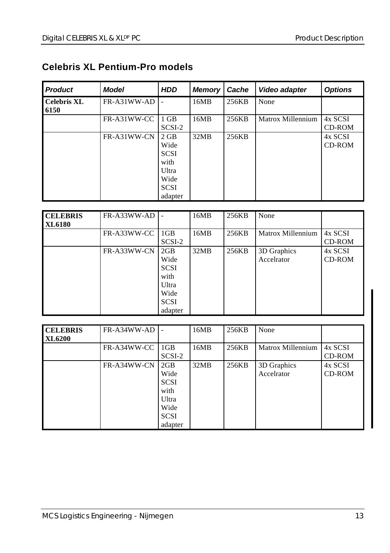#### **Celebris XL Pentium-Pro models**

| <b>Product</b>             | <b>Model</b> | <b>HDD</b>                                                                             | <b>Memory</b> | Cache | Video adapter     | <b>Options</b>           |
|----------------------------|--------------|----------------------------------------------------------------------------------------|---------------|-------|-------------------|--------------------------|
| <b>Celebris XL</b><br>6150 | FR-A31WW-AD  |                                                                                        | 16MB          | 256KB | None              |                          |
|                            | FR-A31WW-CC  | 1 GB<br>SCSI-2                                                                         | 16MB          | 256KB | Matrox Millennium | 4x SCSI<br><b>CD-ROM</b> |
|                            | FR-A31WW-CN  | 2 GB<br>Wide<br><b>SCSI</b><br>with<br><b>U</b> ltra<br>Wide<br><b>SCSI</b><br>adapter | 32MB          | 256KB |                   | 4x SCSI<br><b>CD-ROM</b> |

| <b>CELEBRIS</b><br><b>XL6180</b> | FR-A33WW-AD |                                                                               | 16MB | 256KB | None                      |                   |
|----------------------------------|-------------|-------------------------------------------------------------------------------|------|-------|---------------------------|-------------------|
|                                  | FR-A33WW-CC | 1 <sub>GB</sub><br>SCSI-2                                                     | 16MB | 256KB | Matrox Millennium         | 4x SCSI<br>CD-ROM |
|                                  | FR-A33WW-CN | 2GB<br>Wide<br><b>SCSI</b><br>with<br>Ultra<br>Wide<br><b>SCSI</b><br>adapter | 32MB | 256KB | 3D Graphics<br>Accelrator | 4x SCSI<br>CD-ROM |

| <b>CELEBRIS</b> | FR-A34WW-AD |                 | 16MB | 256KB | None              |         |
|-----------------|-------------|-----------------|------|-------|-------------------|---------|
| <b>XL6200</b>   |             |                 |      |       |                   |         |
|                 | FR-A34WW-CC | 1 <sub>GB</sub> | 16MB | 256KB | Matrox Millennium | 4x SCSI |
|                 |             | SCSI-2          |      |       |                   | CD-ROM  |
|                 | FR-A34WW-CN | 2GB             | 32MB | 256KB | 3D Graphics       | 4x SCSI |
|                 |             | Wide            |      |       | Accelrator        | CD-ROM  |
|                 |             | <b>SCSI</b>     |      |       |                   |         |
|                 |             | with            |      |       |                   |         |
|                 |             | Ultra           |      |       |                   |         |
|                 |             | Wide            |      |       |                   |         |
|                 |             | <b>SCSI</b>     |      |       |                   |         |
|                 |             | adapter         |      |       |                   |         |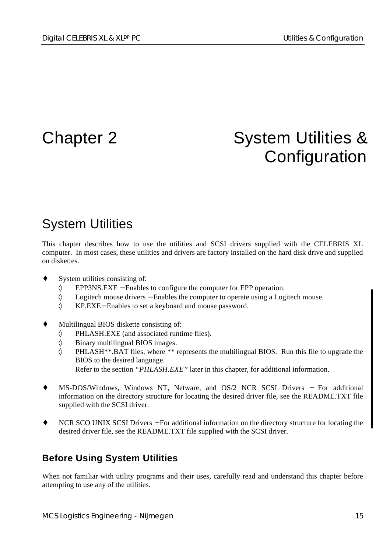# Chapter 2 System Utilities & **Configuration**

### System Utilities

This chapter describes how to use the utilities and SCSI drivers supplied with the CELEBRIS XL computer. In most cases, these utilities and drivers are factory installed on the hard disk drive and supplied on diskettes.

- System utilities consisting of:
	- ◊ EPP3NS.EXE − Enables to configure the computer for EPP operation.
	- ◊ Logitech mouse drivers − Enables the computer to operate using a Logitech mouse.
	- ◊ KP.EXE− Enables to set a keyboard and mouse password.
- Multilingual BIOS diskette consisting of:
	- ◊ PHLASH.EXE (and associated runtime files).
	- ◊ Binary multilingual BIOS images.
	- $\Diamond$  PHLASH\*\*.BAT files, where \*\* represents the multilingual BIOS. Run this file to upgrade the BIOS to the desired language. Refer to the section *"PHLASH.EXE"* later in this chapter, for additional information.
- MS-DOS/Windows, Windows NT, Netware, and OS/2 NCR SCSI Drivers For additional information on the directory structure for locating the desired driver file, see the README.TXT file supplied with the SCSI driver.
- NCR SCO UNIX SCSI Drivers For additional information on the directory structure for locating the desired driver file, see the README.TXT file supplied with the SCSI driver.

### **Before Using System Utilities**

When not familiar with utility programs and their uses, carefully read and understand this chapter before attempting to use any of the utilities.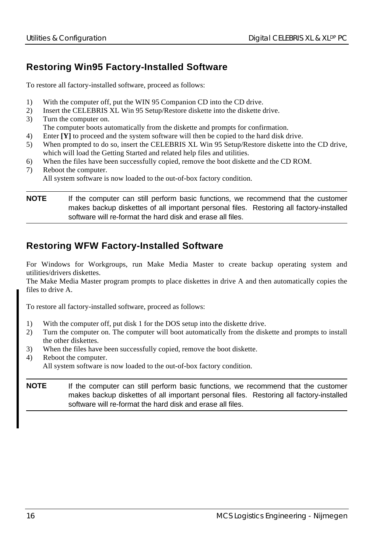#### **Restoring Win95 Factory-Installed Software**

To restore all factory-installed software, proceed as follows:

- 1) With the computer off, put the WIN 95 Companion CD into the CD drive.
- 2) Insert the CELEBRIS XL Win 95 Setup/Restore diskette into the diskette drive.
- 3) Turn the computer on.

The computer boots automatically from the diskette and prompts for confirmation.

- 4) Enter **[Y]** to proceed and the system software will then be copied to the hard disk drive.
- 5) When prompted to do so, insert the CELEBRIS XL Win 95 Setup/Restore diskette into the CD drive, which will load the Getting Started and related help files and utilities.
- 6) When the files have been successfully copied, remove the boot diskette and the CD ROM.
- 7) Reboot the computer. All system software is now loaded to the out-of-box factory condition.

**NOTE** If the computer can still perform basic functions, we recommend that the customer makes backup diskettes of all important personal files. Restoring all factory-installed software will re-format the hard disk and erase all files.

#### **Restoring WFW Factory-Installed Software**

For Windows for Workgroups, run Make Media Master to create backup operating system and utilities/drivers diskettes.

The Make Media Master program prompts to place diskettes in drive A and then automatically copies the files to drive A.

To restore all factory-installed software, proceed as follows:

- 1) With the computer off, put disk 1 for the DOS setup into the diskette drive.
- 2) Turn the computer on. The computer will boot automatically from the diskette and prompts to install the other diskettes.
- 3) When the files have been successfully copied, remove the boot diskette.
- 4) Reboot the computer. All system software is now loaded to the out-of-box factory condition.
- **NOTE** If the computer can still perform basic functions, we recommend that the customer makes backup diskettes of all important personal files. Restoring all factory-installed software will re-format the hard disk and erase all files.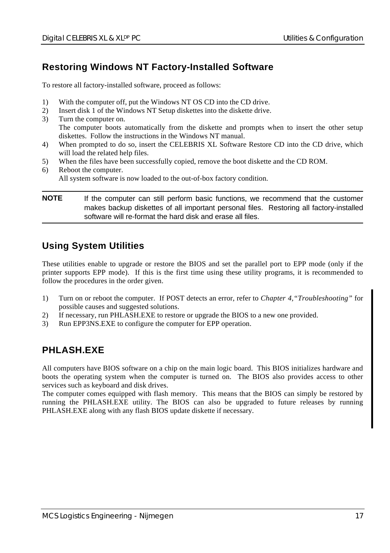#### **Restoring Windows NT Factory-Installed Software**

To restore all factory-installed software, proceed as follows:

- 1) With the computer off, put the Windows NT OS CD into the CD drive.
- 2) Insert disk 1 of the Windows NT Setup diskettes into the diskette drive.
- 3) Turn the computer on. The computer boots automatically from the diskette and prompts when to insert the other setup diskettes. Follow the instructions in the Windows NT manual.
- 4) When prompted to do so, insert the CELEBRIS XL Software Restore CD into the CD drive, which will load the related help files.
- 5) When the files have been successfully copied, remove the boot diskette and the CD ROM.
- 6) Reboot the computer. All system software is now loaded to the out-of-box factory condition.

**NOTE** If the computer can still perform basic functions, we recommend that the customer makes backup diskettes of all important personal files. Restoring all factory-installed software will re-format the hard disk and erase all files.

#### **Using System Utilities**

These utilities enable to upgrade or restore the BIOS and set the parallel port to EPP mode (only if the printer supports EPP mode). If this is the first time using these utility programs, it is recommended to follow the procedures in the order given.

- 1) Turn on or reboot the computer. If POST detects an error, refer to *Chapter 4,"Troubleshooting"* for possible causes and suggested solutions.
- 2) If necessary, run PHLASH.EXE to restore or upgrade the BIOS to a new one provided.
- 3) Run EPP3NS.EXE to configure the computer for EPP operation.

#### **PHLASH.EXE**

All computers have BIOS software on a chip on the main logic board. This BIOS initializes hardware and boots the operating system when the computer is turned on. The BIOS also provides access to other services such as keyboard and disk drives.

The computer comes equipped with flash memory. This means that the BIOS can simply be restored by running the PHLASH.EXE utility. The BIOS can also be upgraded to future releases by running PHLASH.EXE along with any flash BIOS update diskette if necessary.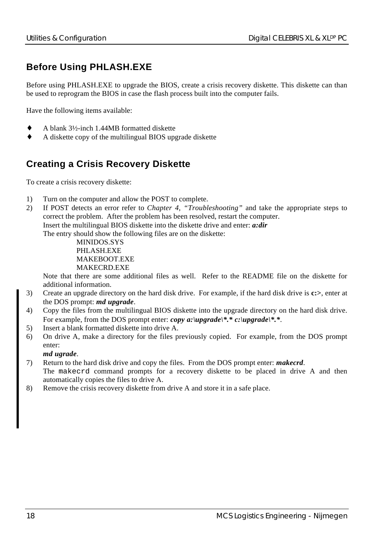### **Before Using PHLASH.EXE**

Before using PHLASH.EXE to upgrade the BIOS, create a crisis recovery diskette. This diskette can than be used to reprogram the BIOS in case the flash process built into the computer fails.

Have the following items available:

- ♦ A blank 3½-inch 1.44MB formatted diskette
- A diskette copy of the multilingual BIOS upgrade diskette

#### **Creating a Crisis Recovery Diskette**

To create a crisis recovery diskette:

- 1) Turn on the computer and allow the POST to complete.
- 2) If POST detects an error refer to *Chapter 4, "Troubleshooting"* and take the appropriate steps to correct the problem. After the problem has been resolved, restart the computer. Insert the multilingual BIOS diskette into the diskette drive and enter: *a:dir* The entry should show the following files are on the diskette:

MINIDOS.SYS PHLASH.EXE MAKEBOOT EXE MAKECRD.EXE

Note that there are some additional files as well. Refer to the README file on the diskette for additional information.

- 3) Create an upgrade directory on the hard disk drive. For example, if the hard disk drive is **c:>**, enter at the DOS prompt: *md upgrade*.
- 4) Copy the files from the multilingual BIOS diskette into the upgrade directory on the hard disk drive. For example, from the DOS prompt enter: *copy a:\upgrade\\*.\* c:\upgrade\\*.\**.
- 5) Insert a blank formatted diskette into drive A.
- 6) On drive A, make a directory for the files previously copied. For example, from the DOS prompt enter:

*md ugrade*.

- 7) Return to the hard disk drive and copy the files. From the DOS prompt enter: *makecrd*. The makecrd command prompts for a recovery diskette to be placed in drive A and then automatically copies the files to drive A.
- 8) Remove the crisis recovery diskette from drive A and store it in a safe place.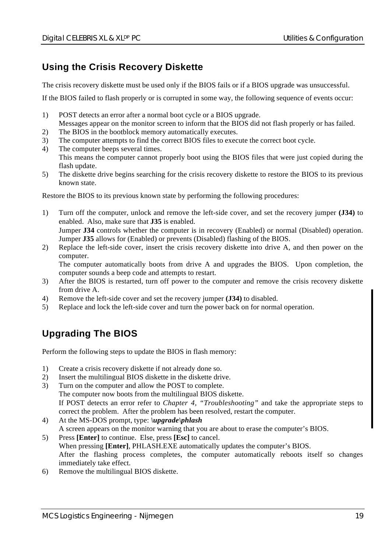### **Using the Crisis Recovery Diskette**

The crisis recovery diskette must be used only if the BIOS fails or if a BIOS upgrade was unsuccessful.

If the BIOS failed to flash properly or is corrupted in some way, the following sequence of events occur:

- 1) POST detects an error after a normal boot cycle or a BIOS upgrade. Messages appear on the monitor screen to inform that the BIOS did not flash properly or has failed.
- 2) The BIOS in the bootblock memory automatically executes.
- 3) The computer attempts to find the correct BIOS files to execute the correct boot cycle.
- 4) The computer beeps several times. This means the computer cannot properly boot using the BIOS files that were just copied during the flash update.
- 5) The diskette drive begins searching for the crisis recovery diskette to restore the BIOS to its previous known state.

Restore the BIOS to its previous known state by performing the following procedures:

- 1) Turn off the computer, unlock and remove the left-side cover, and set the recovery jumper **(J34)** to enabled. Also, make sure that **J35** is enabled. Jumper **J34** controls whether the computer is in recovery (Enabled) or normal (Disabled) operation. Jumper **J35** allows for (Enabled) or prevents (Disabled) flashing of the BIOS.
- 2) Replace the left-side cover, insert the crisis recovery diskette into drive A, and then power on the computer.

The computer automatically boots from drive A and upgrades the BIOS. Upon completion, the computer sounds a beep code and attempts to restart.

- 3) After the BIOS is restarted, turn off power to the computer and remove the crisis recovery diskette from drive A.
- 4) Remove the left-side cover and set the recovery jumper **(J34)** to disabled.
- 5) Replace and lock the left-side cover and turn the power back on for normal operation.

### **Upgrading The BIOS**

Perform the following steps to update the BIOS in flash memory:

- 1) Create a crisis recovery diskette if not already done so.
- 2) Insert the multilingual BIOS diskette in the diskette drive.
- 3) Turn on the computer and allow the POST to complete. The computer now boots from the multilingual BIOS diskette. If POST detects an error refer to *Chapter 4, "Troubleshooting"* and take the appropriate steps to correct the problem. After the problem has been resolved, restart the computer.
- 4) At the MS-DOS prompt, type: *\upgrade\phlash* A screen appears on the monitor warning that you are about to erase the computer's BIOS.
- 5) Press **[Enter]** to continue. Else, press **[Esc]** to cancel. When pressing **[Enter]**, PHLASH.EXE automatically updates the computer's BIOS. After the flashing process completes, the computer automatically reboots itself so changes immediately take effect.
- 6) Remove the multilingual BIOS diskette.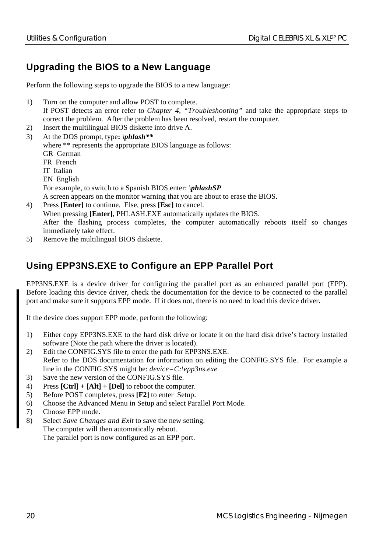#### **Upgrading the BIOS to a New Language**

Perform the following steps to upgrade the BIOS to a new language:

- 1) Turn on the computer and allow POST to complete.
- If POST detects an error refer to *Chapter 4, "Troubleshooting"* and take the appropriate steps to correct the problem. After the problem has been resolved, restart the computer.
- 2) Insert the multilingual BIOS diskette into drive A.
- 3) At the DOS prompt, type**:** *\phlash\*\** where \*\* represents the appropriate BIOS language as follows: GR German FR French IT Italian EN English For example, to switch to a Spanish BIOS enter: *\phlashSP* A screen appears on the monitor warning that you are about to erase the BIOS.
- 4) Press **[Enter]** to continue. Else, press **[Esc]** to cancel. When pressing **[Enter]**, PHLASH.EXE automatically updates the BIOS. After the flashing process completes, the computer automatically reboots itself so changes immediately take effect.
- 5) Remove the multilingual BIOS diskette.

#### **Using EPP3NS.EXE to Configure an EPP Parallel Port**

EPP3NS.EXE is a device driver for configuring the parallel port as an enhanced parallel port (EPP). Before loading this device driver, check the documentation for the device to be connected to the parallel port and make sure it supports EPP mode. If it does not, there is no need to load this device driver.

If the device does support EPP mode, perform the following:

- 1) Either copy EPP3NS.EXE to the hard disk drive or locate it on the hard disk drive's factory installed software (Note the path where the driver is located).
- 2) Edit the CONFIG.SYS file to enter the path for EPP3NS.EXE. Refer to the DOS documentation for information on editing the CONFIG.SYS file. For example a line in the CONFIG.SYS might be: *device=C:\epp3ns.exe*
- 3) Save the new version of the CONFIG.SYS file.
- 4) Press **[Ctrl] + [Alt] + [Del]** to reboot the computer.
- 5) Before POST completes, press **[F2]** to enter Setup.
- 6) Choose the Advanced Menu in Setup and select Parallel Port Mode.
- 7) Choose EPP mode.
- 8) Select *Save Changes and Exit* to save the new setting. The computer will then automatically reboot.

The parallel port is now configured as an EPP port.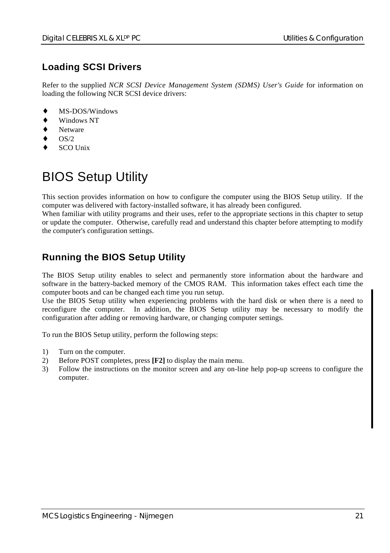### **Loading SCSI Drivers**

Refer to the supplied *NCR SCSI Device Management System (SDMS) User's Guide* for information on loading the following NCR SCSI device drivers:

- MS-DOS/Windows
- Windows NT
- **Netware**
- $OS/2$
- SCO Unix

# BIOS Setup Utility

This section provides information on how to configure the computer using the BIOS Setup utility. If the computer was delivered with factory-installed software, it has already been configured.

When familiar with utility programs and their uses, refer to the appropriate sections in this chapter to setup or update the computer. Otherwise, carefully read and understand this chapter before attempting to modify the computer's configuration settings.

#### **Running the BIOS Setup Utility**

The BIOS Setup utility enables to select and permanently store information about the hardware and software in the battery-backed memory of the CMOS RAM. This information takes effect each time the computer boots and can be changed each time you run setup.

Use the BIOS Setup utility when experiencing problems with the hard disk or when there is a need to reconfigure the computer. In addition, the BIOS Setup utility may be necessary to modify the configuration after adding or removing hardware, or changing computer settings.

To run the BIOS Setup utility, perform the following steps:

- 1) Turn on the computer.
- 2) Before POST completes, press **[F2]** to display the main menu.
- 3) Follow the instructions on the monitor screen and any on-line help pop-up screens to configure the computer.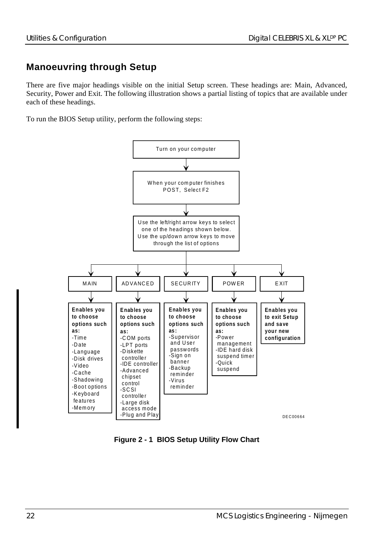#### **Manoeuvring through Setup**

There are five major headings visible on the initial Setup screen. These headings are: Main, Advanced, Security, Power and Exit. The following illustration shows a partial listing of topics that are available under each of these headings.

To run the BIOS Setup utility, perform the following steps:



**Figure 2 - 1 BIOS Setup Utility Flow Chart**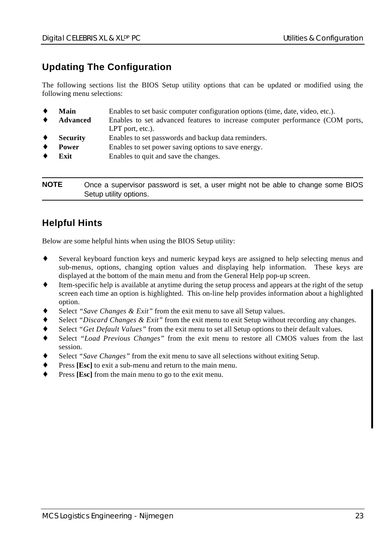#### **Updating The Configuration**

The following sections list the BIOS Setup utility options that can be updated or modified using the following menu selections:

| ٠ | Main            | Enables to set basic computer configuration options (time, date, video, etc.). |
|---|-----------------|--------------------------------------------------------------------------------|
| ٠ | Advanced        | Enables to set advanced features to increase computer performance (COM ports,  |
|   |                 | $LPT$ port, etc.).                                                             |
| ٠ | <b>Security</b> | Enables to set passwords and backup data reminders.                            |
| ٠ | Power           | Enables to set power saving options to save energy.                            |
|   | Exit            | Enables to quit and save the changes.                                          |
|   |                 |                                                                                |
|   |                 |                                                                                |

**NOTE** Once a supervisor password is set, a user might not be able to change some BIOS Setup utility options.

#### **Helpful Hints**

Below are some helpful hints when using the BIOS Setup utility:

- ♦ Several keyboard function keys and numeric keypad keys are assigned to help selecting menus and sub-menus, options, changing option values and displaying help information. These keys are displayed at the bottom of the main menu and from the General Help pop-up screen.
- Item-specific help is available at anytime during the setup process and appears at the right of the setup screen each time an option is highlighted. This on-line help provides information about a highlighted option.
- Select "Save Changes & Exit" from the exit menu to save all Setup values.
- Select *"Discard Changes & Exit"* from the exit menu to exit Setup without recording any changes.
- Select *"Get Default Values"* from the exit menu to set all Setup options to their default values.
- Select *"Load Previous Changes"* from the exit menu to restore all CMOS values from the last session.
- Select *"Save Changes"* from the exit menu to save all selections without exiting Setup.
- Press [Esc] to exit a sub-menu and return to the main menu.
- Press [Esc] from the main menu to go to the exit menu.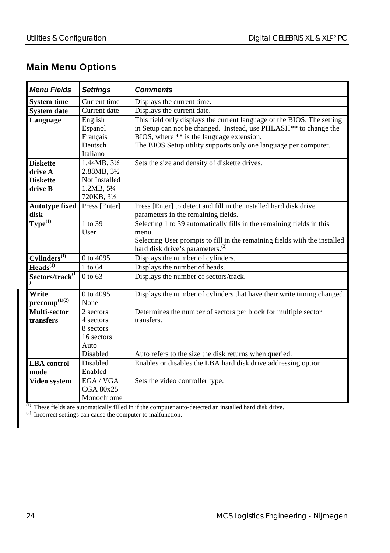### **Main Menu Options**

| <b>Menu Fields</b>          | <b>Settings</b>         | <b>Comments</b>                                                              |
|-----------------------------|-------------------------|------------------------------------------------------------------------------|
| <b>System time</b>          | Current time            | Displays the current time.                                                   |
| <b>System date</b>          | Current date            | Displays the current date.                                                   |
| Language                    | English                 | This field only displays the current language of the BIOS. The setting       |
|                             | Español                 | in Setup can not be changed. Instead, use PHLASH <sup>**</sup> to change the |
|                             | Français                | BIOS, where ** is the language extension.                                    |
|                             | Deutsch                 | The BIOS Setup utility supports only one language per computer.              |
|                             | Italiano                |                                                                              |
| <b>Diskette</b>             | $1.44MB, 3\frac{1}{2}$  | Sets the size and density of diskette drives.                                |
| drive A                     | 2.88MB, 31/2            |                                                                              |
| <b>Diskette</b>             | Not Installed           |                                                                              |
| drive B                     | 1.2MB, 51/4             |                                                                              |
|                             | 720KB, 31/2             |                                                                              |
| <b>Autotype fixed</b>       | Press [Enter]           | Press [Enter] to detect and fill in the installed hard disk drive            |
| disk                        |                         | parameters in the remaining fields.                                          |
| $T$ ype $^{(1)}$            | 1 to 39                 | Selecting 1 to 39 automatically fills in the remaining fields in this        |
|                             | User                    | menu.                                                                        |
|                             |                         | Selecting User prompts to fill in the remaining fields with the installed    |
|                             |                         | hard disk drive's parameters. <sup>(2)</sup>                                 |
| $Cylinders^{(1)}$           | 0 to 4095               | Displays the number of cylinders.                                            |
| Heads <sup>(1)</sup>        | 1 to 64                 | Displays the number of heads.                                                |
| Sectors/track <sup>(1</sup> | $0$ to 63               | Displays the number of sectors/track.                                        |
|                             |                         |                                                                              |
| Write                       | 0 to 4095               | Displays the number of cylinders that have their write timing changed.       |
| $\mathbf{precomp}^{(1)(2)}$ | None                    |                                                                              |
| Multi-sector                | 2 sectors               | Determines the number of sectors per block for multiple sector               |
| transfers                   | 4 sectors               | transfers.                                                                   |
|                             | 8 sectors<br>16 sectors |                                                                              |
|                             |                         |                                                                              |
|                             | Auto<br>Disabled        |                                                                              |
|                             | <b>Disabled</b>         | Auto refers to the size the disk returns when queried.                       |
| <b>LBA</b> control          |                         | Enables or disables the LBA hard disk drive addressing option.               |
| mode                        | Enabled                 |                                                                              |
| Video system                | EGA / VGA               | Sets the video controller type.                                              |
|                             | CGA 80x25               |                                                                              |
|                             | Monochrome              |                                                                              |

 $<sup>(1)</sup>$  These fields are automatically filled in if the computer auto-detected an installed hard disk drive.</sup>

 $(2)$  Incorrect settings can cause the computer to malfunction.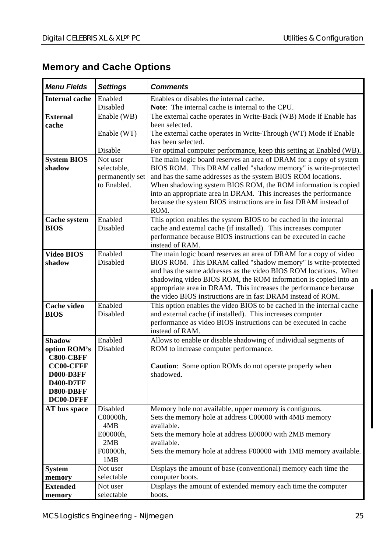### **Memory and Cache Options**

| <b>Menu Fields</b>           | <b>Settings</b>         | <b>Comments</b>                                                                                                                     |
|------------------------------|-------------------------|-------------------------------------------------------------------------------------------------------------------------------------|
| <b>Internal cache</b>        | Enabled                 | Enables or disables the internal cache.                                                                                             |
|                              | Disabled                | Note: The internal cache is internal to the CPU.                                                                                    |
| <b>External</b>              | Enable (WB)             | The external cache operates in Write-Back (WB) Mode if Enable has                                                                   |
| cache                        |                         | been selected.                                                                                                                      |
|                              | Enable (WT)             | The external cache operates in Write-Through (WT) Mode if Enable                                                                    |
|                              |                         | has been selected.                                                                                                                  |
|                              | Disable                 | For optimal computer performance, keep this setting at Enabled (WB).                                                                |
| <b>System BIOS</b><br>shadow | Not user<br>selectable, | The main logic board reserves an area of DRAM for a copy of system<br>BIOS ROM. This DRAM called "shadow memory" is write-protected |
|                              | permanently set         | and has the same addresses as the system BIOS ROM locations.                                                                        |
|                              | to Enabled.             | When shadowing system BIOS ROM, the ROM information is copied                                                                       |
|                              |                         | into an appropriate area in DRAM. This increases the performance                                                                    |
|                              |                         | because the system BIOS instructions are in fast DRAM instead of                                                                    |
|                              |                         | ROM.                                                                                                                                |
| <b>Cache system</b>          | Enabled                 | This option enables the system BIOS to be cached in the internal                                                                    |
| <b>BIOS</b>                  | Disabled                | cache and external cache (if installed). This increases computer                                                                    |
|                              |                         | performance because BIOS instructions can be executed in cache                                                                      |
|                              |                         | instead of RAM.                                                                                                                     |
| <b>Video BIOS</b><br>shadow  | Enabled<br>Disabled     | The main logic board reserves an area of DRAM for a copy of video<br>BIOS ROM. This DRAM called "shadow memory" is write-protected  |
|                              |                         | and has the same addresses as the video BIOS ROM locations. When                                                                    |
|                              |                         | shadowing video BIOS ROM, the ROM information is copied into an                                                                     |
|                              |                         | appropriate area in DRAM. This increases the performance because                                                                    |
|                              |                         | the video BIOS instructions are in fast DRAM instead of ROM.                                                                        |
| Cache video                  | Enabled                 | This option enables the video BIOS to be cached in the internal cache                                                               |
| <b>BIOS</b>                  | Disabled                | and external cache (if installed). This increases computer                                                                          |
|                              |                         | performance as video BIOS instructions can be executed in cache                                                                     |
|                              |                         | instead of RAM.                                                                                                                     |
| <b>Shadow</b>                | Enabled                 | Allows to enable or disable shadowing of individual segments of                                                                     |
| option ROM's<br>C800-CBFF    | Disabled                | ROM to increase computer performance.                                                                                               |
| <b>CC00-CFFF</b>             |                         | <b>Caution:</b> Some option ROMs do not operate properly when                                                                       |
| <b>D000-D3FF</b>             |                         | shadowed.                                                                                                                           |
| <b>D400-D7FF</b>             |                         |                                                                                                                                     |
| D800-DBFF                    |                         |                                                                                                                                     |
| DC00-DFFF                    |                         |                                                                                                                                     |
| AT bus space                 | Disabled                | Memory hole not available, upper memory is contiguous.                                                                              |
|                              | C00000h,                | Sets the memory hole at address C00000 with 4MB memory                                                                              |
|                              | 4MB<br>E00000h,         | available.<br>Sets the memory hole at address E00000 with 2MB memory                                                                |
|                              | 2MB                     | available.                                                                                                                          |
|                              | F00000h,                | Sets the memory hole at address F00000 with 1MB memory available.                                                                   |
|                              | 1MB                     |                                                                                                                                     |
| System                       | Not user                | Displays the amount of base (conventional) memory each time the                                                                     |
| memory                       | selectable              | computer boots.                                                                                                                     |
| <b>Extended</b>              | Not user                | Displays the amount of extended memory each time the computer                                                                       |
| memory                       | selectable              | boots.                                                                                                                              |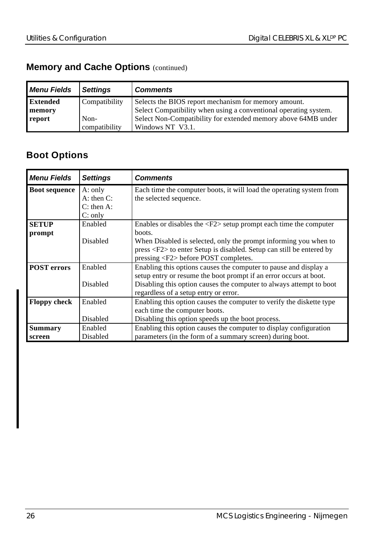### **Memory and Cache Options (continued)**

| <b>Menu Fields</b> | <b>Settings</b> | <b>Comments</b>                                                  |
|--------------------|-----------------|------------------------------------------------------------------|
| <b>Extended</b>    | Compatibility   | Selects the BIOS report mechanism for memory amount.             |
| memory             |                 | Select Compatibility when using a conventional operating system. |
| report             | Non-            | Select Non-Compatibility for extended memory above 64MB under    |
|                    | compatibility   | Windows NT V3.1.                                                 |

### **Boot Options**

| <b>Menu Fields</b>   | <b>Settings</b> | <b>Comments</b>                                                                  |
|----------------------|-----------------|----------------------------------------------------------------------------------|
| <b>Boot sequence</b> | A: only         | Each time the computer boots, it will load the operating system from             |
|                      | $A:$ then $C:$  | the selected sequence.                                                           |
|                      | $C:$ then A:    |                                                                                  |
|                      | C: only         |                                                                                  |
| <b>SETUP</b>         | Enabled         | Enables or disables the $\langle F2 \rangle$ setup prompt each time the computer |
| prompt               |                 | boots.                                                                           |
|                      | <b>Disabled</b> | When Disabled is selected, only the prompt informing you when to                 |
|                      |                 | press <f2> to enter Setup is disabled. Setup can still be entered by</f2>        |
|                      |                 | pressing $\langle F2 \rangle$ before POST completes.                             |
| <b>POST</b> errors   | Enabled         | Enabling this options causes the computer to pause and display a                 |
|                      |                 | setup entry or resume the boot prompt if an error occurs at boot.                |
|                      | <b>Disabled</b> | Disabling this option causes the computer to always attempt to boot              |
|                      |                 | regardless of a setup entry or error.                                            |
| <b>Floppy check</b>  | Enabled         | Enabling this option causes the computer to verify the diskette type             |
|                      |                 | each time the computer boots.                                                    |
|                      | Disabled        | Disabling this option speeds up the boot process.                                |
| <b>Summary</b>       | Enabled         | Enabling this option causes the computer to display configuration                |
| screen               | Disabled        | parameters (in the form of a summary screen) during boot.                        |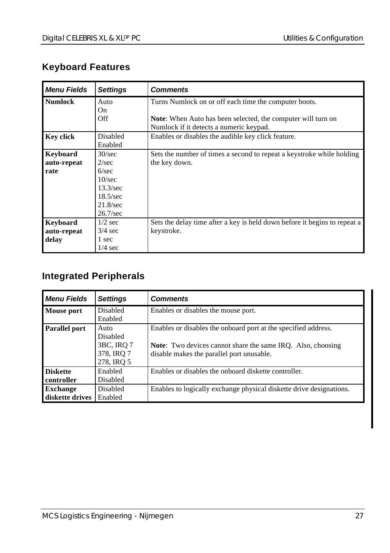### **Keyboard Features**

| <b>Menu Fields</b> | <b>Settings</b>   | <b>Comments</b>                                                           |
|--------------------|-------------------|---------------------------------------------------------------------------|
| <b>Numlock</b>     | Auto              | Turns Numlock on or off each time the computer boots.                     |
|                    | On.               |                                                                           |
|                    | Off               | <b>Note:</b> When Auto has been selected, the computer will turn on       |
|                    |                   | Numlock if it detects a numeric keypad.                                   |
| <b>Key click</b>   | Disabled          | Enables or disables the audible key click feature.                        |
|                    | Enabled           |                                                                           |
| Keyboard           | 30/sec            | Sets the number of times a second to repeat a keystroke while holding     |
| auto-repeat        | 2/sec             | the key down.                                                             |
| rate               | 6/sec             |                                                                           |
|                    | 10/sec            |                                                                           |
|                    | 13.3/sec          |                                                                           |
|                    | $18.5/\text{sec}$ |                                                                           |
|                    | 21.8/sec          |                                                                           |
|                    | 26.7/sec          |                                                                           |
| Keyboard           | $1/2$ sec         | Sets the delay time after a key is held down before it begins to repeat a |
| auto-repeat        | $3/4$ sec         | keystroke.                                                                |
| delay              | 1 sec             |                                                                           |
|                    | $1/4$ sec         |                                                                           |

### **Integrated Peripherals**

| <b>Menu Fields</b> | <b>Settings</b> | <b>Comments</b>                                                     |
|--------------------|-----------------|---------------------------------------------------------------------|
| Mouse port         | <b>Disabled</b> | Enables or disables the mouse port.                                 |
|                    | Enabled         |                                                                     |
| Parallel port      | Auto            | Enables or disables the onboard port at the specified address.      |
|                    | Disabled        |                                                                     |
|                    | 3BC, IRO 7      | <b>Note:</b> Two devices cannot share the same IRO. Also, choosing  |
|                    | 378, IRO 7      | disable makes the parallel port unusable.                           |
|                    | 278, IRO 5      |                                                                     |
| <b>Diskette</b>    | Enabled         | Enables or disables the onboard diskette controller.                |
| controller         | Disabled        |                                                                     |
| <b>Exchange</b>    | <b>Disabled</b> | Enables to logically exchange physical diskette drive designations. |
| diskette drives    | Enabled         |                                                                     |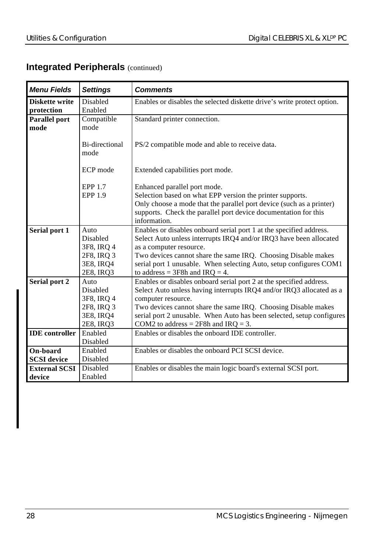### **Integrated Peripherals (continued)**

| <b>Menu Fields</b>                  | <b>Settings</b>                                                        | <b>Comments</b>                                                                                                                                                                                                                                                                                                                                      |
|-------------------------------------|------------------------------------------------------------------------|------------------------------------------------------------------------------------------------------------------------------------------------------------------------------------------------------------------------------------------------------------------------------------------------------------------------------------------------------|
| <b>Diskette write</b><br>protection | Disabled<br>Enabled                                                    | Enables or disables the selected diskette drive's write protect option.                                                                                                                                                                                                                                                                              |
| <b>Parallel port</b><br>mode        | Compatible<br>mode                                                     | Standard printer connection.                                                                                                                                                                                                                                                                                                                         |
|                                     | Bi-directional<br>mode                                                 | PS/2 compatible mode and able to receive data.                                                                                                                                                                                                                                                                                                       |
|                                     | ECP mode                                                               | Extended capabilities port mode.                                                                                                                                                                                                                                                                                                                     |
|                                     | <b>EPP 1.7</b><br><b>EPP 1.9</b>                                       | Enhanced parallel port mode.<br>Selection based on what EPP version the printer supports.<br>Only choose a mode that the parallel port device (such as a printer)<br>supports. Check the parallel port device documentation for this<br>information.                                                                                                 |
| Serial port 1                       | Auto<br>Disabled<br>3F8, IRO 4<br>2F8, IRQ 3<br>3E8, IRQ4<br>2E8, IRQ3 | Enables or disables onboard serial port 1 at the specified address.<br>Select Auto unless interrupts IRQ4 and/or IRQ3 have been allocated<br>as a computer resource.<br>Two devices cannot share the same IRQ. Choosing Disable makes<br>serial port 1 unusable. When selecting Auto, setup configures COM1<br>to address = $3F8h$ and $IRQ = 4$ .   |
| Serial port 2                       | Auto<br>Disabled<br>3F8, IRO 4<br>2F8, IRQ 3<br>3E8, IRQ4<br>2E8, IRQ3 | Enables or disables onboard serial port 2 at the specified address.<br>Select Auto unless having interrupts IRQ4 and/or IRQ3 allocated as a<br>computer resource.<br>Two devices cannot share the same IRQ. Choosing Disable makes<br>serial port 2 unusable. When Auto has been selected, setup configures<br>COM2 to address = $2F8h$ and IRQ = 3. |
| <b>IDE</b> controller               | Enabled<br>Disabled                                                    | Enables or disables the onboard IDE controller.                                                                                                                                                                                                                                                                                                      |
| On-board<br><b>SCSI</b> device      | Enabled<br>Disabled                                                    | Enables or disables the onboard PCI SCSI device.                                                                                                                                                                                                                                                                                                     |
| <b>External SCSI</b><br>device      | Disabled<br>Enabled                                                    | Enables or disables the main logic board's external SCSI port.                                                                                                                                                                                                                                                                                       |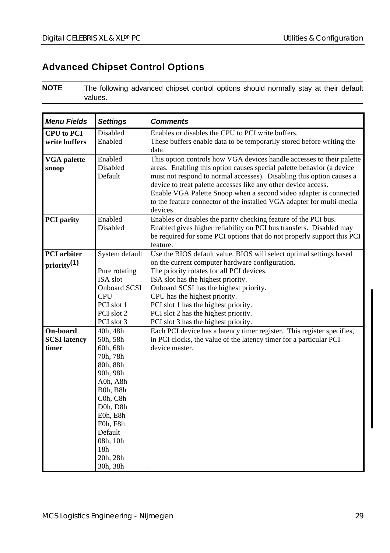### **Advanced Chipset Control Options**

**NOTE** The following advanced chipset control options should normally stay at their default values.

| <b>Menu Fields</b>                                                  | <b>Settings</b>                                                                                                                                                                              | <b>Comments</b>                                                                                                                                                                                                                                                                                                                                                                                                                                                                                         |
|---------------------------------------------------------------------|----------------------------------------------------------------------------------------------------------------------------------------------------------------------------------------------|---------------------------------------------------------------------------------------------------------------------------------------------------------------------------------------------------------------------------------------------------------------------------------------------------------------------------------------------------------------------------------------------------------------------------------------------------------------------------------------------------------|
| <b>CPU</b> to PCI                                                   | <b>Disabled</b>                                                                                                                                                                              | Enables or disables the CPU to PCI write buffers.                                                                                                                                                                                                                                                                                                                                                                                                                                                       |
| write buffers                                                       | Enabled                                                                                                                                                                                      | These buffers enable data to be temporarily stored before writing the<br>data.                                                                                                                                                                                                                                                                                                                                                                                                                          |
| <b>VGA</b> palette<br>snoop                                         | Enabled<br>Disabled<br>Default                                                                                                                                                               | This option controls how VGA devices handle accesses to their palette<br>areas. Enabling this option causes special palette behavior (a device<br>must not respond to normal accesses). Disabling this option causes a<br>device to treat palette accesses like any other device access.<br>Enable VGA Palette Snoop when a second video adapter is connected<br>to the feature connector of the installed VGA adapter for multi-media<br>devices.                                                      |
| <b>PCI</b> parity                                                   | Enabled<br>Disabled                                                                                                                                                                          | Enables or disables the parity checking feature of the PCI bus.<br>Enabled gives higher reliability on PCI bus transfers. Disabled may<br>be required for some PCI options that do not properly support this PCI<br>feature.                                                                                                                                                                                                                                                                            |
| <b>PCI</b> arbiter                                                  | System default                                                                                                                                                                               | Use the BIOS default value. BIOS will select optimal settings based                                                                                                                                                                                                                                                                                                                                                                                                                                     |
| $\text{priority}^{(1)}$<br>On-board<br><b>SCSI</b> latency<br>timer | Pure rotating<br>ISA slot<br><b>Onboard SCSI</b><br><b>CPU</b><br>PCI slot 1<br>PCI slot 2<br>PCI slot 3<br>40h, 48h<br>50h, 58h<br>60h, 68h<br>70h, 78h<br>80h, 88h<br>90h, 98h<br>A0h, A8h | on the current computer hardware configuration.<br>The priority rotates for all PCI devices.<br>ISA slot has the highest priority.<br>Onboard SCSI has the highest priority.<br>CPU has the highest priority.<br>PCI slot 1 has the highest priority.<br>PCI slot 2 has the highest priority.<br>PCI slot 3 has the highest priority.<br>Each PCI device has a latency timer register. This register specifies,<br>in PCI clocks, the value of the latency timer for a particular PCI<br>device master. |
|                                                                     | B0h, B8h<br>C0h, C8h<br>D <sub>0</sub> h, D <sub>8</sub> h<br>E0h, E8h<br>F0h, F8h<br>Default<br>08h, 10h<br>18h<br>20h, 28h<br>30h, 38h                                                     |                                                                                                                                                                                                                                                                                                                                                                                                                                                                                                         |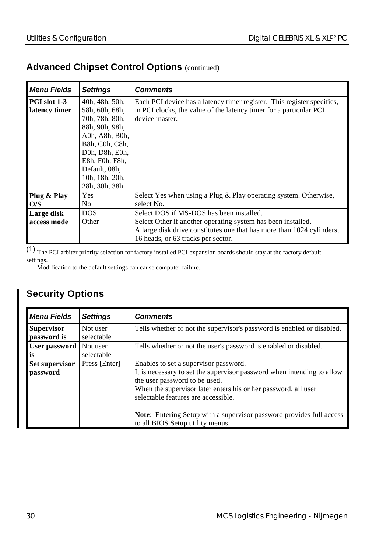### **Advanced Chipset Control Options** (continued)

| <b>Menu Fields</b>            | <b>Settings</b>                                                                                                                                                                                  | <b>Comments</b>                                                                                                                                                |  |
|-------------------------------|--------------------------------------------------------------------------------------------------------------------------------------------------------------------------------------------------|----------------------------------------------------------------------------------------------------------------------------------------------------------------|--|
| PCI slot 1-3<br>latency timer | 40h, 48h, 50h,<br>58h, 60h, 68h,<br>70h, 78h, 80h,<br>88h, 90h, 98h,<br>A0h, A8h, B0h,<br>B8h, C0h, C8h,<br>D0h, D8h, E0h,<br>E8h, F0h, F8h,<br>Default, 08h,<br>10h, 18h, 20h,<br>28h, 30h, 38h | Each PCI device has a latency timer register. This register specifies,<br>in PCI clocks, the value of the latency timer for a particular PCI<br>device master. |  |
| Plug & Play<br>O/S            | <b>Yes</b><br>No                                                                                                                                                                                 | Select Yes when using a Plug & Play operating system. Otherwise,<br>select No.                                                                                 |  |
| Large disk<br>access mode     | <b>DOS</b><br>Other                                                                                                                                                                              | Select DOS if MS-DOS has been installed.<br>Select Other if another operating system has been installed.                                                       |  |
|                               |                                                                                                                                                                                                  | A large disk drive constitutes one that has more than 1024 cylinders,<br>16 heads, or 63 tracks per sector.                                                    |  |

 $\overline{(1)}$  The PCI arbiter priority selection for factory installed PCI expansion boards should stay at the factory default settings.

Modification to the default settings can cause computer failure.

### **Security Options**

| <b>Menu Fields</b>                | <b>Settings</b>        | <b>Comments</b>                                                                                                                                                                                                                                           |
|-----------------------------------|------------------------|-----------------------------------------------------------------------------------------------------------------------------------------------------------------------------------------------------------------------------------------------------------|
| <b>Supervisor</b><br>password is  | Not user<br>selectable | Tells whether or not the supervisor's password is enabled or disabled.                                                                                                                                                                                    |
| User password<br>is               | Not user<br>selectable | Tells whether or not the user's password is enabled or disabled.                                                                                                                                                                                          |
| <b>Set supervisor</b><br>password | Press [Enter]          | Enables to set a supervisor password.<br>It is necessary to set the supervisor password when intending to allow<br>the user password to be used.<br>When the supervisor later enters his or her password, all user<br>selectable features are accessible. |
|                                   |                        | <b>Note:</b> Entering Setup with a supervisor password provides full access<br>to all BIOS Setup utility menus.                                                                                                                                           |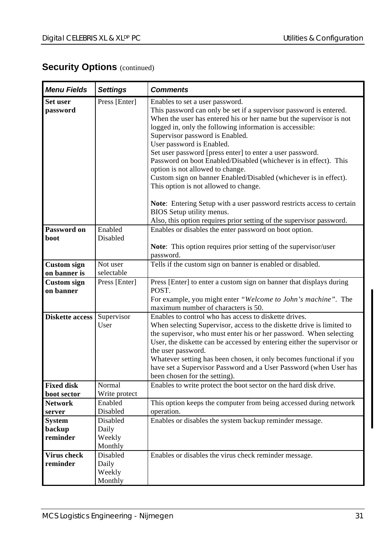### **Security Options (continued)**

| <b>Menu Fields</b>                  | <b>Settings</b>                               | <b>Comments</b>                                                                                                                                                                                                                                                                                                                                                                                                                                                                                                                                                                                                                                                                                  |  |
|-------------------------------------|-----------------------------------------------|--------------------------------------------------------------------------------------------------------------------------------------------------------------------------------------------------------------------------------------------------------------------------------------------------------------------------------------------------------------------------------------------------------------------------------------------------------------------------------------------------------------------------------------------------------------------------------------------------------------------------------------------------------------------------------------------------|--|
| Set user<br>password                | Press [Enter]                                 | Enables to set a user password.<br>This password can only be set if a supervisor password is entered.<br>When the user has entered his or her name but the supervisor is not<br>logged in, only the following information is accessible:<br>Supervisor password is Enabled.<br>User password is Enabled.<br>Set user password [press enter] to enter a user password.<br>Password on boot Enabled/Disabled (whichever is in effect). This<br>option is not allowed to change.<br>Custom sign on banner Enabled/Disabled (whichever is in effect).<br>This option is not allowed to change.<br>Note: Entering Setup with a user password restricts access to certain<br>BIOS Setup utility menus. |  |
|                                     |                                               | Also, this option requires prior setting of the supervisor password.                                                                                                                                                                                                                                                                                                                                                                                                                                                                                                                                                                                                                             |  |
| Password on<br>boot                 | Enabled<br><b>Disabled</b>                    | Enables or disables the enter password on boot option.<br>Note: This option requires prior setting of the supervisor/user<br>password.                                                                                                                                                                                                                                                                                                                                                                                                                                                                                                                                                           |  |
| <b>Custom</b> sign                  | Not user                                      | Tells if the custom sign on banner is enabled or disabled.                                                                                                                                                                                                                                                                                                                                                                                                                                                                                                                                                                                                                                       |  |
| on banner is                        | selectable                                    |                                                                                                                                                                                                                                                                                                                                                                                                                                                                                                                                                                                                                                                                                                  |  |
| <b>Custom</b> sign<br>on banner     | Press [Enter]                                 | Press [Enter] to enter a custom sign on banner that displays during<br>POST.<br>For example, you might enter "Welcome to John's machine". The<br>maximum number of characters is 50.                                                                                                                                                                                                                                                                                                                                                                                                                                                                                                             |  |
| <b>Diskette access</b>              | Supervisor<br>User                            | Enables to control who has access to diskette drives.<br>When selecting Supervisor, access to the diskette drive is limited to<br>the supervisor, who must enter his or her password. When selecting<br>User, the diskette can be accessed by entering either the supervisor or<br>the user password.<br>Whatever setting has been chosen, it only becomes functional if you<br>have set a Supervisor Password and a User Password (when User has<br>been chosen for the setting).                                                                                                                                                                                                               |  |
| <b>Fixed disk</b>                   | Normal<br>Write protect                       | Enables to write protect the boot sector on the hard disk drive.                                                                                                                                                                                                                                                                                                                                                                                                                                                                                                                                                                                                                                 |  |
| boot sector<br><b>Network</b>       | Enabled                                       | This option keeps the computer from being accessed during network                                                                                                                                                                                                                                                                                                                                                                                                                                                                                                                                                                                                                                |  |
| server                              | Disabled                                      | operation.                                                                                                                                                                                                                                                                                                                                                                                                                                                                                                                                                                                                                                                                                       |  |
| <b>System</b><br>backup<br>reminder | <b>Disabled</b><br>Daily<br>Weekly<br>Monthly | Enables or disables the system backup reminder message.                                                                                                                                                                                                                                                                                                                                                                                                                                                                                                                                                                                                                                          |  |
| <b>Virus check</b><br>reminder      | Disabled<br>Daily<br>Weekly<br>Monthly        | Enables or disables the virus check reminder message.                                                                                                                                                                                                                                                                                                                                                                                                                                                                                                                                                                                                                                            |  |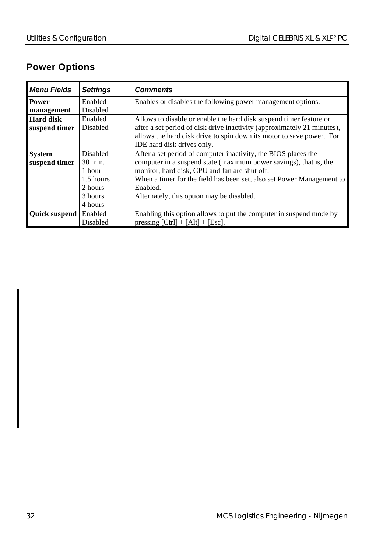### **Power Options**

| <b>Menu Fields</b>   | <b>Settings</b> | <b>Comments</b>                                                         |
|----------------------|-----------------|-------------------------------------------------------------------------|
| Power                | Enabled         | Enables or disables the following power management options.             |
| management           | Disabled        |                                                                         |
| Hard disk            | Enabled         | Allows to disable or enable the hard disk suspend timer feature or      |
| suspend timer        | <b>Disabled</b> | after a set period of disk drive inactivity (approximately 21 minutes), |
|                      |                 | allows the hard disk drive to spin down its motor to save power. For    |
|                      |                 | IDE hard disk drives only.                                              |
| <b>System</b>        | Disabled        | After a set period of computer inactivity, the BIOS places the          |
| suspend timer        | 30 min.         | computer in a suspend state (maximum power savings), that is, the       |
|                      | 1 hour          | monitor, hard disk, CPU and fan are shut off.                           |
|                      | 1.5 hours       | When a timer for the field has been set, also set Power Management to   |
|                      | 2 hours         | Enabled.                                                                |
|                      | 3 hours         | Alternately, this option may be disabled.                               |
|                      | 4 hours         |                                                                         |
| <b>Ouick suspend</b> | Enabled         | Enabling this option allows to put the computer in suspend mode by      |
|                      | Disabled        | pressing $[Ctrl] + [Alt] + [Esc]$ .                                     |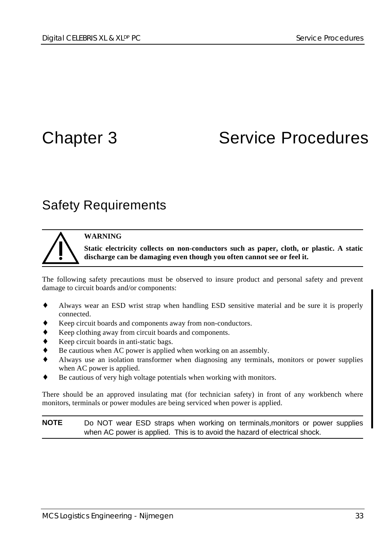# Chapter 3 Service Procedures

### Safety Requirements

#### **WARNING**

**Static electricity collects on non-conductors such as paper, cloth, or plastic. A static discharge can be damaging even though you often cannot see or feel it.**

The following safety precautions must be observed to insure product and personal safety and prevent damage to circuit boards and/or components:

- ♦ Always wear an ESD wrist strap when handling ESD sensitive material and be sure it is properly connected.
- Keep circuit boards and components away from non-conductors.
- Keep clothing away from circuit boards and components.
- Keep circuit boards in anti-static bags.
- Be cautious when AC power is applied when working on an assembly.
- ♦ Always use an isolation transformer when diagnosing any terminals, monitors or power supplies when AC power is applied.
- Be cautious of very high voltage potentials when working with monitors.

There should be an approved insulating mat (for technician safety) in front of any workbench where monitors, terminals or power modules are being serviced when power is applied.

**NOTE** Do NOT wear ESD straps when working on terminals,monitors or power supplies when AC power is applied. This is to avoid the hazard of electrical shock.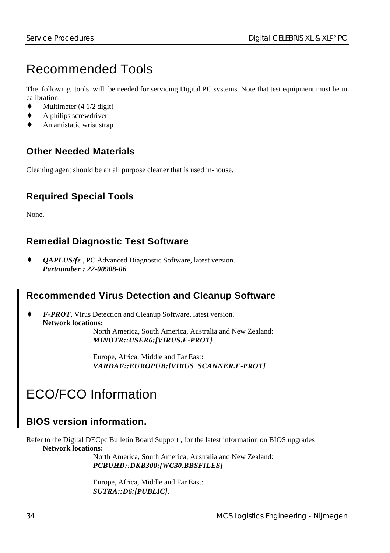# Recommended Tools

The following tools will be needed for servicing Digital PC systems. Note that test equipment must be in calibration.

- $\blacklozenge$  Multimeter (4 1/2 digit)
- A philips screwdriver
- An antistatic wrist strap

#### **Other Needed Materials**

Cleaning agent should be an all purpose cleaner that is used in-house.

#### **Required Special Tools**

None.

#### **Remedial Diagnostic Test Software**

*QAPLUS/fe*, PC Advanced Diagnostic Software, latest version. *Partnumber : 22-00908-06*

#### **Recommended Virus Detection and Cleanup Software**

*F-PROT*, Virus Detection and Cleanup Software, latest version. **Network locations:** North America, South America, Australia and New Zealand: *MINOTR::USER6:[VIRUS.F-PROT}*

> Europe, Africa, Middle and Far East: *VARDAF::EUROPUB:[VIRUS\_SCANNER.F-PROT]*

## ECO/FCO Information

### **BIOS version information.**

Refer to the Digital DECpc Bulletin Board Support , for the latest information on BIOS upgrades **Network locations:**

North America, South America, Australia and New Zealand: *PCBUHD::DKB300:[WC30.BBSFILES]*

Europe, Africa, Middle and Far East: *SUTRA::D6:[PUBLIC]*.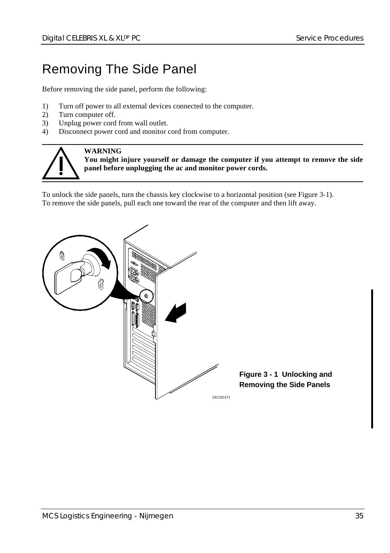## Removing The Side Panel

Before removing the side panel, perform the following:

- 1) Turn off power to all external devices connected to the computer.
- 2) Turn computer off.
- 3) Unplug power cord from wall outlet.<br>4) Disconnect nower cord and monitor
- Disconnect power cord and monitor cord from computer.



#### **WARNING**

**You might injure yourself or damage the computer if you attempt to remove the side panel before unplugging the ac and monitor power cords.**

To unlock the side panels, turn the chassis key clockwise to a horizontal position (see Figure 3-1). To remove the side panels, pull each one toward the rear of the computer and then lift away.

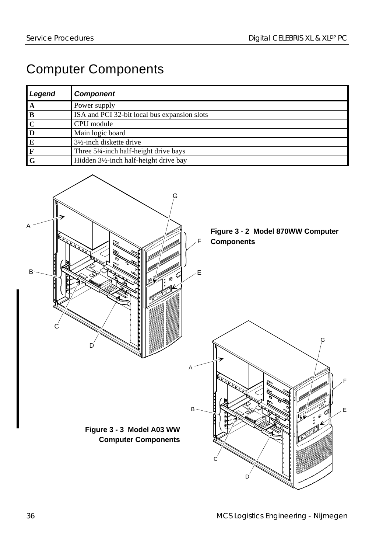## Computer Components

| Legend       | <b>Component</b>                             |
|--------------|----------------------------------------------|
| $\Lambda$    | Power supply                                 |
| B            | ISA and PCI 32-bit local bus expansion slots |
| $\mathbf{C}$ | CPU module                                   |
| D            | Main logic board                             |
| E            | $3\frac{1}{2}$ -inch diskette drive          |
| IF.          | Three 5¼-inch half-height drive bays         |
| $\mathbf G$  | Hidden 3½-inch half-height drive bay         |

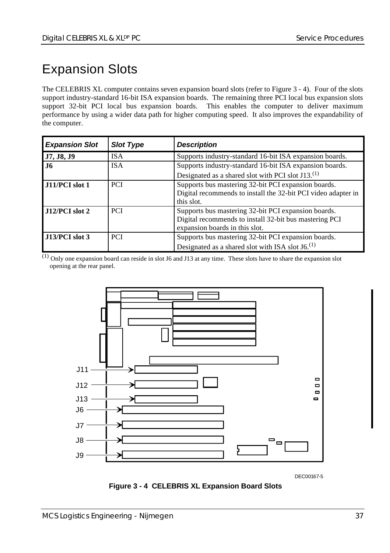## Expansion Slots

The CELEBRIS XL computer contains seven expansion board slots (refer to Figure 3 - 4). Four of the slots support industry-standard 16-bit ISA expansion boards. The remaining three PCI local bus expansion slots support 32-bit PCI local bus expansion boards. This enables the computer to deliver maximum performance by using a wider data path for higher computing speed. It also improves the expandability of the computer.

| <b>Expansion Slot</b> | <b>Slot Type</b> | <b>Description</b>                                                                                                                              |
|-----------------------|------------------|-------------------------------------------------------------------------------------------------------------------------------------------------|
| J7, J8, J9            | IS A             | Supports industry-standard 16-bit ISA expansion boards.                                                                                         |
| <b>J6</b>             | <b>ISA</b>       | Supports industry-standard 16-bit ISA expansion boards.                                                                                         |
|                       |                  | Designated as a shared slot with PCI slot J13. <sup>(1)</sup>                                                                                   |
| J11/PCI slot 1        | <b>PCI</b>       | Supports bus mastering 32-bit PCI expansion boards.<br>Digital recommends to install the 32-bit PCI video adapter in<br>this slot.              |
| $J12/PCI$ slot 2      | <b>PCI</b>       | Supports bus mastering 32-bit PCI expansion boards.<br>Digital recommends to install 32-bit bus mastering PCI<br>expansion boards in this slot. |
| $J13/PCI$ slot 3      | <b>PCI</b>       | Supports bus mastering 32-bit PCI expansion boards.<br>Designated as a shared slot with ISA slot $J6$ . <sup>(1)</sup>                          |

 $\overline{^{(1)}$  Only one expansion board can reside in slot J6 and J13 at any time. These slots have to share the expansion slot opening at the rear panel.



DEC00167-5

**Figure 3 - 4 CELEBRIS XL Expansion Board Slots**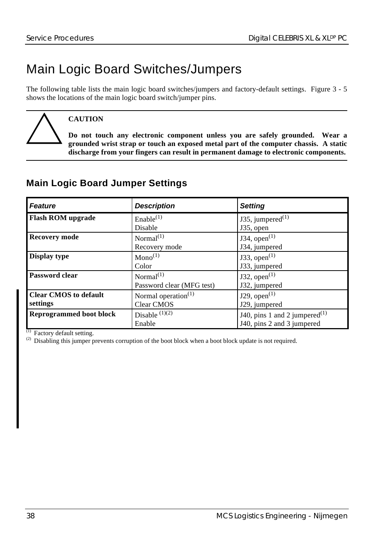# Main Logic Board Switches/Jumpers

The following table lists the main logic board switches/jumpers and factory-default settings. Figure 3 - 5 shows the locations of the main logic board switch/jumper pins.

**CAUTION**

**Do not touch any electronic component unless you are safely grounded. Wear a grounded wrist strap or touch an exposed metal part of the computer chassis. A static discharge from your fingers can result in permanent damage to electronic components.**

|  |  | <b>Main Logic Board Jumper Settings</b> |
|--|--|-----------------------------------------|
|  |  |                                         |

| <b>Feature</b>                           | <b>Description</b>                                 | <b>Setting</b>                                                 |
|------------------------------------------|----------------------------------------------------|----------------------------------------------------------------|
| <b>Flash ROM</b> upgrade                 | Enable <sup>(1)</sup><br>Disable                   | J35, jumpered $(1)$<br>J35, open                               |
| <b>Recovery mode</b>                     | Normal <sup>(1)</sup><br>Recovery mode             | J34, open $(1)$<br>J34, jumpered                               |
| Display type                             | $Mono^{(1)}$<br>Color                              | J33, open $(1)$<br>J33, jumpered                               |
| <b>Password clear</b>                    | Normal <sup>(1)</sup><br>Password clear (MFG test) | J32, open $^{(1)}$<br>J32, jumpered                            |
| <b>Clear CMOS to default</b><br>settings | Normal operation <sup>(1)</sup><br>Clear CMOS      | $J29$ , open $^{(1)}$<br>J29, jumpered                         |
| <b>Reprogrammed boot block</b>           | Disable $(1)(2)$<br>Enable                         | J40, pins 1 and 2 jumpered $(1)$<br>J40, pins 2 and 3 jumpered |

 $(1)$  Factory default setting.

<sup>(2)</sup> Disabling this jumper prevents corruption of the boot block when a boot block update is not required.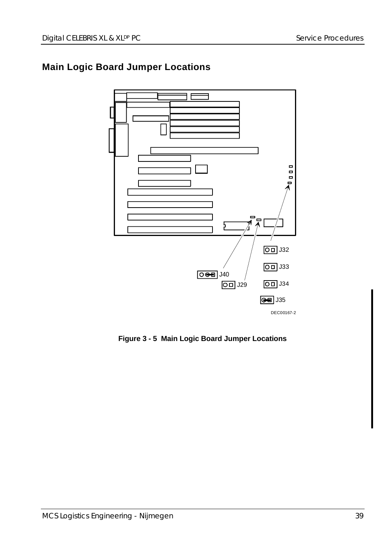## **Main Logic Board Jumper Locations**



**Figure 3 - 5 Main Logic Board Jumper Locations**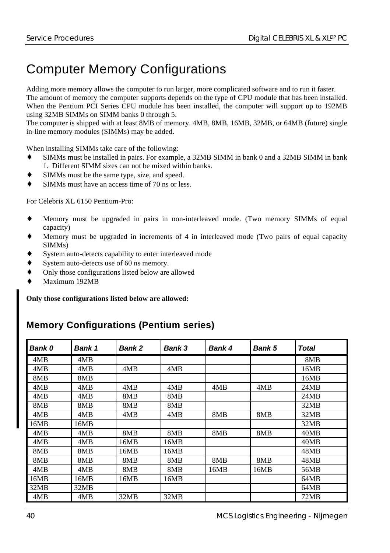# Computer Memory Configurations

Adding more memory allows the computer to run larger, more complicated software and to run it faster. The amount of memory the computer supports depends on the type of CPU module that has been installed. When the Pentium PCI Series CPU module has been installed, the computer will support up to 192MB using 32MB SIMMs on SIMM banks 0 through 5.

The computer is shipped with at least 8MB of memory. 4MB, 8MB, 16MB, 32MB, or 64MB (future) single in-line memory modules (SIMMs) may be added.

When installing SIMMs take care of the following:

- SIMMs must be installed in pairs. For example, a 32MB SIMM in bank 0 and a 32MB SIMM in bank 1. Different SIMM sizes can not be mixed within banks.
- SIMMs must be the same type, size, and speed.
- SIMMs must have an access time of 70 ns or less.

For Celebris XL 6150 Pentium-Pro:

- Memory must be upgraded in pairs in non-interleaved mode. (Two memory SIMMs of equal capacity)
- Memory must be upgraded in increments of 4 in interleaved mode (Two pairs of equal capacity SIMMs)
- System auto-detects capability to enter interleaved mode
- System auto-detects use of 60 ns memory.
- Only those configurations listed below are allowed
- Maximum 192MB

**Only those configurations listed below are allowed:**

#### **Memory Configurations (Pentium series)**

| <b>Bank 0</b> | <b>Bank 1</b> | <b>Bank 2</b> | <b>Bank 3</b> | Bank 4 | <b>Bank 5</b> | Total |
|---------------|---------------|---------------|---------------|--------|---------------|-------|
| 4MB           | 4MB           |               |               |        |               | 8MB   |
| 4MB           | 4MB           | 4MB           | 4MB           |        |               | 16MB  |
| 8MB           | 8MB           |               |               |        |               | 16MB  |
| 4MB           | 4MB           | 4MB           | 4MB           | 4MB    | 4MB           | 24MB  |
| 4MB           | 4MB           | 8MB           | 8MB           |        |               | 24MB  |
| 8MB           | 8MB           | 8MB           | 8MB           |        |               | 32MB  |
| 4MB           | 4MB           | 4MB           | 4MB           | 8MB    | 8MB           | 32MB  |
| 16MB          | 16MB          |               |               |        |               | 32MB  |
| 4MB           | 4MB           | 8MB           | 8MB           | 8MB    | 8MB           | 40MB  |
| 4MB           | 4MB           | 16MB          | 16MB          |        |               | 40MB  |
| 8MB           | 8MB           | 16MB          | 16MB          |        |               | 48MB  |
| 8MB           | 8MB           | 8MB           | 8MB           | 8MB    | 8MB           | 48MB  |
| 4MB           | 4MB           | 8MB           | 8MB           | 16MB   | 16MB          | 56MB  |
| 16MB          | 16MB          | 16MB          | 16MB          |        |               | 64MB  |
| 32MB          | 32MB          |               |               |        |               | 64MB  |
| 4MB           | 4MB           | 32MB          | 32MB          |        |               | 72MB  |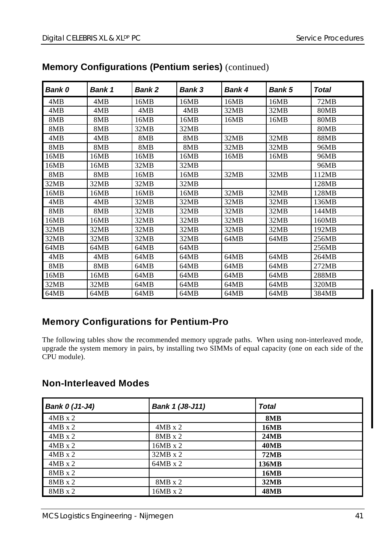| Bank 0 | Bank 1 | <b>Bank 2</b> | Bank 3 | Bank 4 | Bank 5 | Total |
|--------|--------|---------------|--------|--------|--------|-------|
| 4MB    | 4MB    | 16MB          | 16MB   | 16MB   | 16MB   | 72MB  |
| 4MB    | 4MB    | 4MB           | 4MB    | 32MB   | 32MB   | 80MB  |
| 8MB    | 8MB    | 16MB          | 16MB   | 16MB   | 16MB   | 80MB  |
| 8MB    | 8MB    | 32MB          | 32MB   |        |        | 80MB  |
| 4MB    | 4MB    | 8MB           | 8MB    | 32MB   | 32MB   | 88MB  |
| 8MB    | 8MB    | 8MB           | 8MB    | 32MB   | 32MB   | 96MB  |
| 16MB   | 16MB   | 16MB          | 16MB   | 16MB   | 16MB   | 96MB  |
| 16MB   | 16MB   | 32MB          | 32MB   |        |        | 96MB  |
| 8MB    | 8MB    | 16MB          | 16MB   | 32MB   | 32MB   | 112MB |
| 32MB   | 32MB   | 32MB          | 32MB   |        |        | 128MB |
| 16MB   | 16MB   | 16MB          | 16MB   | 32MB   | 32MB   | 128MB |
| 4MB    | 4MB    | 32MB          | 32MB   | 32MB   | 32MB   | 136MB |
| 8MB    | 8MB    | 32MB          | 32MB   | 32MB   | 32MB   | 144MB |
| 16MB   | 16MB   | 32MB          | 32MB   | 32MB   | 32MB   | 160MB |
| 32MB   | 32MB   | 32MB          | 32MB   | 32MB   | 32MB   | 192MB |
| 32MB   | 32MB   | 32MB          | 32MB   | 64MB   | 64MB   | 256MB |
| 64MB   | 64MB   | 64MB          | 64MB   |        |        | 256MB |
| 4MB    | 4MB    | 64MB          | 64MB   | 64MB   | 64MB   | 264MB |
| 8MB    | 8MB    | 64MB          | 64MB   | 64MB   | 64MB   | 272MB |
| 16MB   | 16MB   | 64MB          | 64MB   | 64MB   | 64MB   | 288MB |
| 32MB   | 32MB   | 64MB          | 64MB   | 64MB   | 64MB   | 320MB |
| 64MB   | 64MB   | 64MB          | 64MB   | 64MB   | 64MB   | 384MB |

#### **Memory Configurations (Pentium series)** (continued)

#### **Memory Configurations for Pentium-Pro**

The following tables show the recommended memory upgrade paths. When using non-interleaved mode, upgrade the system memory in pairs, by installing two SIMMs of equal capacity (one on each side of the CPU module).

#### **Non-Interleaved Modes**

| Bank 0 (J1-J4) | Bank 1 (J8-J11) | <b>Total</b> |
|----------------|-----------------|--------------|
| $4MB \times 2$ |                 | 8MB          |
| $4MB \times 2$ | $4MB \times 2$  | 16MB         |
| $4MB \times 2$ | $8MB \times 2$  | <b>24MB</b>  |
| $4MB \times 2$ | $16MB \times 2$ | <b>40MB</b>  |
| $4MB \times 2$ | $32MB \times 2$ | <b>72MB</b>  |
| $4MB \times 2$ | $64MB \times 2$ | 136MB        |
| $8MB \times 2$ |                 | <b>16MB</b>  |
| $8MB \times 2$ | $8MB \times 2$  | 32MB         |
| $8MB \times 2$ | $16MB \times 2$ | <b>48MB</b>  |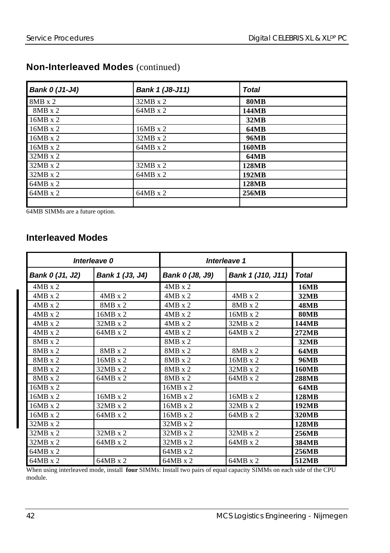| Bank 0 (J1-J4)  | Bank 1 (J8-J11) | <b>Total</b> |
|-----------------|-----------------|--------------|
| $8MB \times 2$  | $32MB \times 2$ | <b>80MB</b>  |
| $8MB \times 2$  | $64MB \times 2$ | 144MB        |
| $16MB \times 2$ |                 | 32MB         |
| $16MB \times 2$ | $16MB \times 2$ | 64MB         |
| $16MB \times 2$ | $32MB \times 2$ | 96MB         |
| $16MB \times 2$ | $64MB \times 2$ | <b>160MB</b> |
| $32MB \times 2$ |                 | <b>64MB</b>  |
| $32MB \times 2$ | $32MB \times 2$ | <b>128MB</b> |
| $32MB \times 2$ | $64MB \times 2$ | <b>192MB</b> |
| $64MB \times 2$ |                 | 128MB        |
| $64MB \times 2$ | $64MB \times 2$ | 256MB        |
|                 |                 |              |

#### **Non-Interleaved Modes** (continued)

64MB SIMMs are a future option.

#### **Interleaved Modes**

|                 | Interleave 0    |                 | Interleave 1      |              |
|-----------------|-----------------|-----------------|-------------------|--------------|
| Bank 0 (J1, J2) | Bank 1 (J3, J4) | Bank 0 (J8, J9) | Bank 1 (J10, J11) | <b>Total</b> |
| $4MB \times 2$  |                 | $4MB \times 2$  |                   | 16MB         |
| $4MB \times 2$  | $4MB \times 2$  | $4MB \times 2$  | $4MB \times 2$    | 32MB         |
| $4MB \times 2$  | $8MB \times 2$  | $4MB \times 2$  | $8MB \times 2$    | <b>48MB</b>  |
| $4MB \times 2$  | $16MB \times 2$ | $4MB \times 2$  | $16MB \times 2$   | <b>80MB</b>  |
| $4MB \times 2$  | $32MB \times 2$ | $4MB \times 2$  | $32MB \times 2$   | 144MB        |
| $4MB \times 2$  | $64MB \times 2$ | $4MB \times 2$  | $64MB \times 2$   | 272MB        |
| 8MB x 2         |                 | $8MB \times 2$  |                   | 32MB         |
| $8MB \times 2$  | $8MB \times 2$  | $8MB \times 2$  | $8MB \times 2$    | <b>64MB</b>  |
| $8MB \times 2$  | $16MB \times 2$ | $8MB \times 2$  | $16MB \times 2$   | 96MB         |
| 8MB x 2         | 32MB x 2        | 8MB x 2         | 32MB x 2          | <b>160MB</b> |
| $8MB \times 2$  | $64MB \times 2$ | $8MB \times 2$  | $64MB \times 2$   | <b>288MB</b> |
| 16MB x 2        |                 | 16MB x 2        |                   | <b>64MB</b>  |
| $16MB \times 2$ | $16MB \times 2$ | $16MB \times 2$ | $16MB \times 2$   | 128MB        |
| $16MB \times 2$ | 32MB x 2        | 16MB x 2        | 32MB x 2          | 192MB        |
| 16MB x 2        | $64MB \times 2$ | $16MB \times 2$ | 64MB x 2          | 320MB        |
| $32MB \times 2$ |                 | $32MB \times 2$ |                   | 128MB        |
| $32MB \times 2$ | 32MB x 2        | 32MB x 2        | 32MB x 2          | 256MB        |
| $32MB \times 2$ | $64MB \times 2$ | $32MB \times 2$ | $64MB \times 2$   | 384MB        |
| $64MB \times 2$ |                 | $64MB \times 2$ |                   | 256MB        |
| $64MB \times 2$ | $64MB \times 2$ | $64MB \times 2$ | 64MB x 2          | 512MB        |

When using interleaved mode, install **four** SIMMs: Install two pairs of equal capacity SIMMs on each side of the CPU module.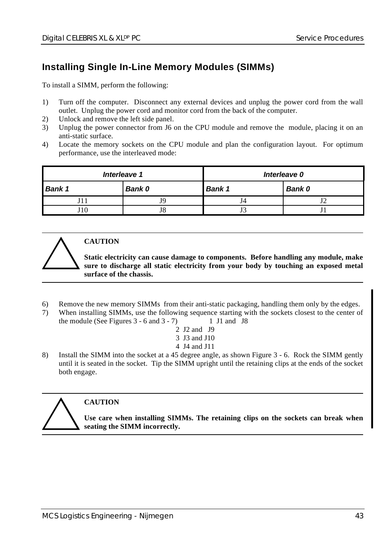#### **Installing Single In-Line Memory Modules (SIMMs)**

To install a SIMM, perform the following:

- 1) Turn off the computer. Disconnect any external devices and unplug the power cord from the wall outlet. Unplug the power cord and monitor cord from the back of the computer.
- 2) Unlock and remove the left side panel.
- 3) Unplug the power connector from J6 on the CPU module and remove the module, placing it on an anti-static surface.
- 4) Locate the memory sockets on the CPU module and plan the configuration layout. For optimum performance, use the interleaved mode:

| Interleave 1  |        | Interleave 0     |  |  |
|---------------|--------|------------------|--|--|
| <b>Bank 1</b> | Bank 0 | Bank 0<br>Bank 1 |  |  |
|               | 19.    |                  |  |  |
| 10            | J8     | ັ                |  |  |



#### **CAUTION**

**Static electricity can cause damage to components. Before handling any module, make sure to discharge all static electricity from your body by touching an exposed metal surface of the chassis.**

- 6) Remove the new memory SIMMs from their anti-static packaging, handling them only by the edges.
- 7) When installing SIMMs, use the following sequence starting with the sockets closest to the center of the module (See Figures  $3 - 6$  and  $3 - 7$ ) 1 J1 and J8
	- 2 J2 and J9
	- 3 J3 and J10
	- 4 J4 and J11
- 8) Install the SIMM into the socket at a 45 degree angle, as shown Figure 3 6. Rock the SIMM gently until it is seated in the socket. Tip the SIMM upright until the retaining clips at the ends of the socket both engage.



#### **CAUTION**

**Use care when installing SIMMs. The retaining clips on the sockets can break when seating the SIMM incorrectly.**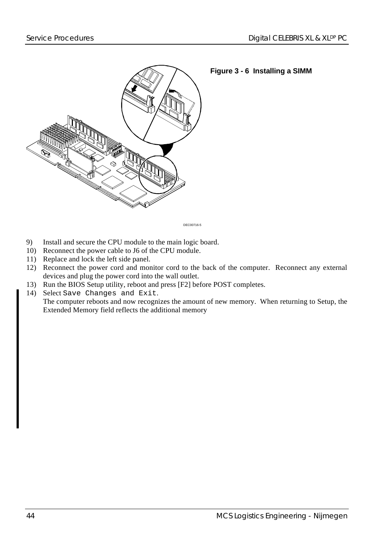

**Figure 3 - 6 Installing a SIMM**

DEC00716-5

- 9) Install and secure the CPU module to the main logic board.
- 10) Reconnect the power cable to J6 of the CPU module.
- 11) Replace and lock the left side panel.
- 12) Reconnect the power cord and monitor cord to the back of the computer. Reconnect any external devices and plug the power cord into the wall outlet.
- 13) Run the BIOS Setup utility, reboot and press [F2] before POST completes.
- 14) Select Save Changes and Exit.

The computer reboots and now recognizes the amount of new memory. When returning to Setup, the Extended Memory field reflects the additional memory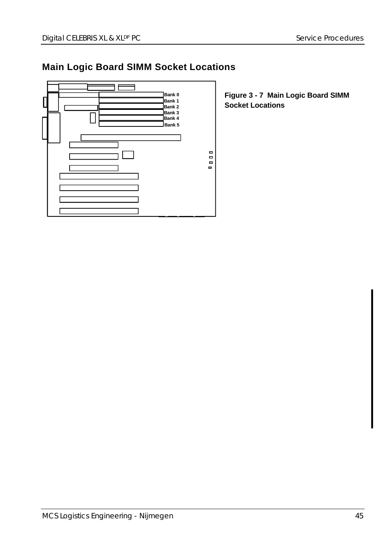## **Main Logic Board SIMM Socket Locations**



**Figure 3 - 7 Main Logic Board SIMM Socket Locations**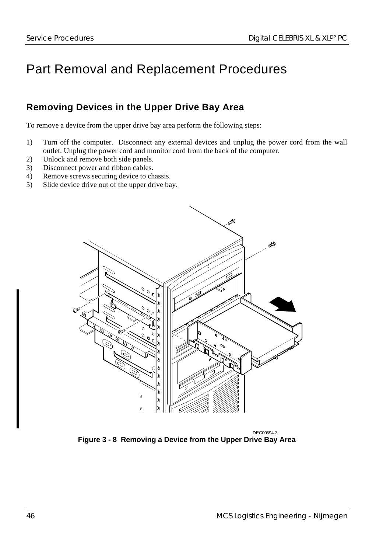# Part Removal and Replacement Procedures

#### **Removing Devices in the Upper Drive Bay Area**

To remove a device from the upper drive bay area perform the following steps:

- 1) Turn off the computer. Disconnect any external devices and unplug the power cord from the wall outlet. Unplug the power cord and monitor cord from the back of the computer.
- 2) Unlock and remove both side panels.
- 3) Disconnect power and ribbon cables.
- 4) Remove screws securing device to chassis.
- 5) Slide device drive out of the upper drive bay.



DEC00594-3 **Figure 3 - 8 Removing a Device from the Upper Drive Bay Area**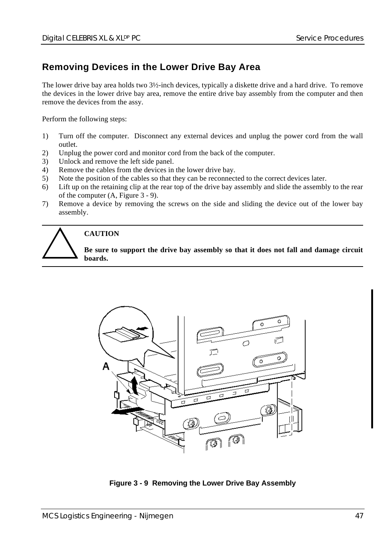#### **Removing Devices in the Lower Drive Bay Area**

The lower drive bay area holds two 3½-inch devices, typically a diskette drive and a hard drive. To remove the devices in the lower drive bay area, remove the entire drive bay assembly from the computer and then remove the devices from the assy.

Perform the following steps:

- 1) Turn off the computer. Disconnect any external devices and unplug the power cord from the wall outlet.
- 2) Unplug the power cord and monitor cord from the back of the computer.
- 3) Unlock and remove the left side panel.
- 4) Remove the cables from the devices in the lower drive bay.
- 5) Note the position of the cables so that they can be reconnected to the correct devices later.
- 6) Lift up on the retaining clip at the rear top of the drive bay assembly and slide the assembly to the rear of the computer (A, Figure 3 - 9).
- 7) Remove a device by removing the screws on the side and sliding the device out of the lower bay assembly.



#### **CAUTION**

**Be sure to support the drive bay assembly so that it does not fall and damage circuit boards.**



**Figure 3 - 9 Removing the Lower Drive Bay Assembly**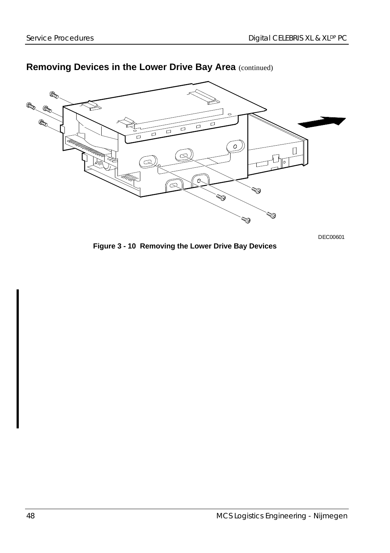

#### **Removing Devices in the Lower Drive Bay Area** (continued)

DEC00601

**Figure 3 - 10 Removing the Lower Drive Bay Devices**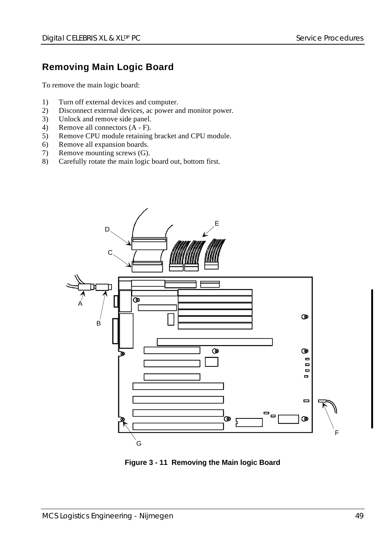#### **Removing Main Logic Board**

To remove the main logic board:

- 1) Turn off external devices and computer.
- 2) Disconnect external devices, ac power and monitor power.
- 3) Unlock and remove side panel.
- 4) Remove all connectors (A F).
- 5) Remove CPU module retaining bracket and CPU module.
- 6) Remove all expansion boards.
- 7) Remove mounting screws (G).<br>8) Carefully rotate the main logic
- Carefully rotate the main logic board out, bottom first.



**Figure 3 - 11 Removing the Main logic Board**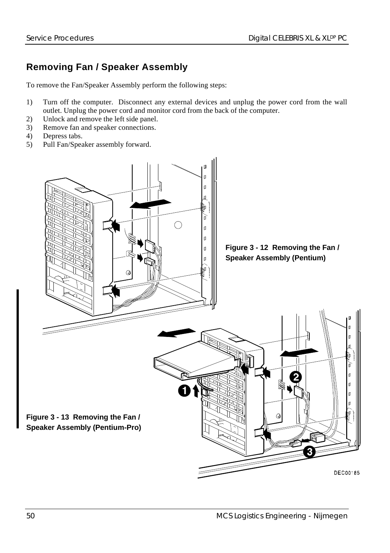## **Removing Fan / Speaker Assembly**

To remove the Fan/Speaker Assembly perform the following steps:

- 1) Turn off the computer. Disconnect any external devices and unplug the power cord from the wall outlet. Unplug the power cord and monitor cord from the back of the computer.
- 2) Unlock and remove the left side panel.
- 3) Remove fan and speaker connections.
- 4) Depress tabs.
- 5) Pull Fan/Speaker assembly forward.

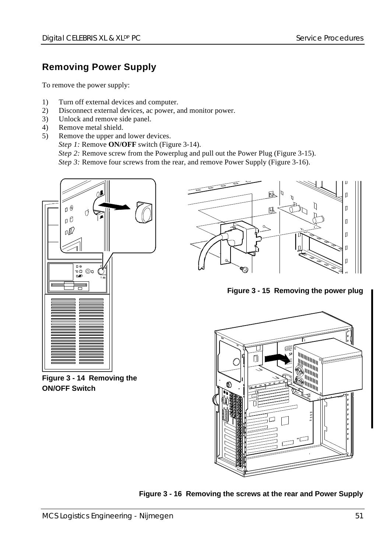#### **Removing Power Supply**

To remove the power supply:

- 1) Turn off external devices and computer.
- 2) Disconnect external devices, ac power, and monitor power.
- 3) Unlock and remove side panel.
- 4) Remove metal shield.
- 5) Remove the upper and lower devices.
	- *Step 1:* Remove **ON/OFF** switch (Figure 3-14).

*Step 2:* Remove screw from the Powerplug and pull out the Power Plug (Figure 3-15).

*Step 3:* Remove four screws from the rear, and remove Power Supply (Figure 3-16).



**Figure 3 - 14 Removing the ON/OFF Switch**



**Figure 3 - 15 Removing the power plug**



**Figure 3 - 16 Removing the screws at the rear and Power Supply**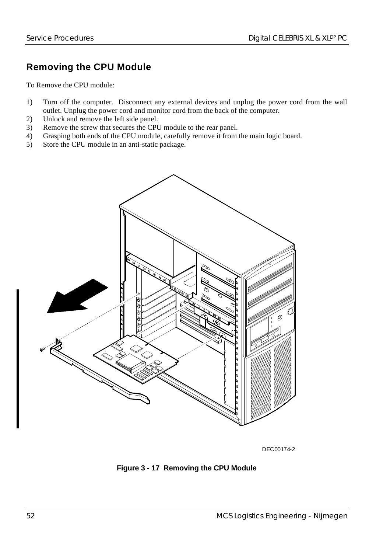#### **Removing the CPU Module**

To Remove the CPU module:

- 1) Turn off the computer. Disconnect any external devices and unplug the power cord from the wall outlet. Unplug the power cord and monitor cord from the back of the computer.
- 2) Unlock and remove the left side panel.
- 3) Remove the screw that secures the CPU module to the rear panel.
- 4) Grasping both ends of the CPU module, carefully remove it from the main logic board.
- 5) Store the CPU module in an anti-static package.



DEC00174-2

**Figure 3 - 17 Removing the CPU Module**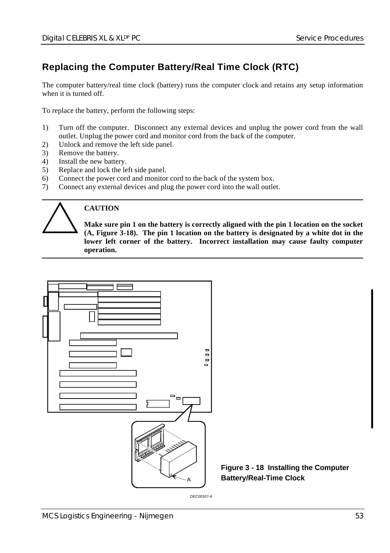#### **Replacing the Computer Battery/Real Time Clock (RTC)**

The computer battery/real time clock (battery) runs the computer clock and retains any setup information when it is turned off.

To replace the battery, perform the following steps:

- 1) Turn off the computer. Disconnect any external devices and unplug the power cord from the wall outlet. Unplug the power cord and monitor cord from the back of the computer.
- 2) Unlock and remove the left side panel.
- 3) Remove the battery.
- 4) Install the new battery.
- 5) Replace and lock the left side panel.
- 6) Connect the power cord and monitor cord to the back of the system box.
- 7) Connect any external devices and plug the power cord into the wall outlet.



#### **CAUTION**

**Make sure pin 1 on the battery is correctly aligned with the pin 1 location on the socket (A, Figure 3-18). The pin 1 location on the battery is designated by a white dot in the lower left corner of the battery. Incorrect installation may cause faulty computer operation.**



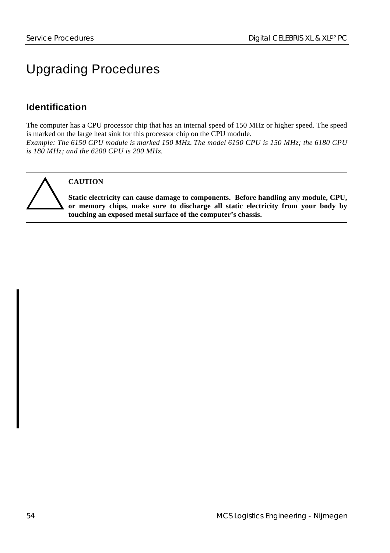# Upgrading Procedures

## **Identification**

The computer has a CPU processor chip that has an internal speed of 150 MHz or higher speed. The speed is marked on the large heat sink for this processor chip on the CPU module. *Example: The 6150 CPU module is marked 150 MHz. The model 6150 CPU is 150 MHz; the 6180 CPU is 180 MHz; and the 6200 CPU is 200 MHz.*

**CAUTION**

**Static electricity can cause damage to components. Before handling any module, CPU, or memory chips, make sure to discharge all static electricity from your body by touching an exposed metal surface of the computer's chassis.**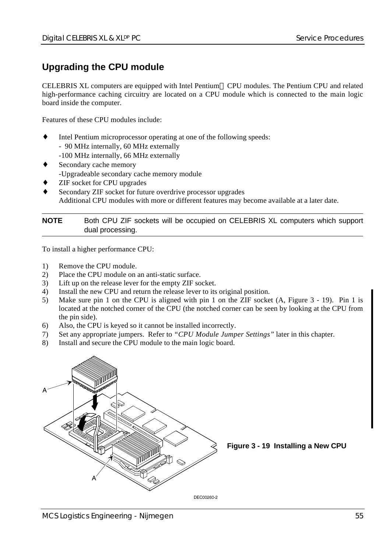#### **Upgrading the CPU module**

CELEBRIS XL computers are equipped with Intel Pentium CPU modules. The Pentium CPU and related high-performance caching circuitry are located on a CPU module which is connected to the main logic board inside the computer.

Features of these CPU modules include:

- Intel Pentium microprocessor operating at one of the following speeds:
	- 90 MHz internally, 60 MHz externally
	- -100 MHz internally, 66 MHz externally
- Secondary cache memory -Upgradeable secondary cache memory module
- ZIF socket for CPU upgrades
- Secondary ZIF socket for future overdrive processor upgrades Additional CPU modules with more or different features may become available at a later date.

#### **NOTE** Both CPU ZIF sockets will be occupied on CELEBRIS XL computers which support dual processing.

To install a higher performance CPU:

- 1) Remove the CPU module.
- 2) Place the CPU module on an anti-static surface.
- 3) Lift up on the release lever for the empty ZIF socket.
- 4) Install the new CPU and return the release lever to its original position.
- 5) Make sure pin 1 on the CPU is aligned with pin 1 on the ZIF socket (A, Figure 3 19). Pin 1 is located at the notched corner of the CPU (the notched corner can be seen by looking at the CPU from the pin side).
- 6) Also, the CPU is keyed so it cannot be installed incorrectly.
- 7) Set any appropriate jumpers. Refer to *"CPU Module Jumper Settings"* later in this chapter.
- 8) Install and secure the CPU module to the main logic board.



**Figure 3 - 19 Installing a New CPU**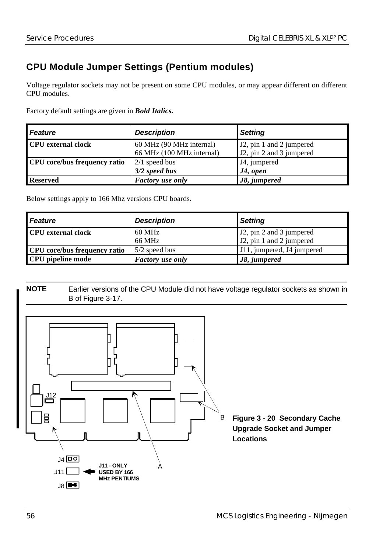## **CPU Module Jumper Settings (Pentium modules)**

Voltage regulator sockets may not be present on some CPU modules, or may appear different on different CPU modules.

Factory default settings are given in *Bold Italics.*

| <b>Feature</b>                      | <b>Description</b>        | <b>Setting</b>                        |
|-------------------------------------|---------------------------|---------------------------------------|
| <b>CPU</b> external clock           | 60 MHz (90 MHz internal)  | J <sub>2</sub> , pin 1 and 2 jumpered |
|                                     | 66 MHz (100 MHz internal) | J2, pin 2 and 3 jumpered              |
| <b>CPU</b> core/bus frequency ratio | $2/1$ speed bus           | J4, jumpered                          |
|                                     | $3/2$ speed bus           | $J4$ , open                           |
| <b>Reserved</b>                     | <b>Factory</b> use only   | J8, jumpered                          |

Below settings apply to 166 Mhz versions CPU boards.

| <b>Feature</b>                      | <b>Description</b>      | <b>Setting</b>                                                                 |
|-------------------------------------|-------------------------|--------------------------------------------------------------------------------|
| <b>CPU</b> external clock           | 60 MHz<br>66 MHz        | J <sub>2</sub> , pin 2 and 3 jumpered<br>J <sub>2</sub> , pin 1 and 2 jumpered |
| <b>CPU</b> core/bus frequency ratio | $5/2$ speed bus         | J11, jumpered, J4 jumpered                                                     |
| <b>CPU</b> pipeline mode            | <b>Factory</b> use only | 18. jumpered                                                                   |



**NOTE** Earlier versions of the CPU Module did not have voltage regulator sockets as shown in B of Figure 3-17.

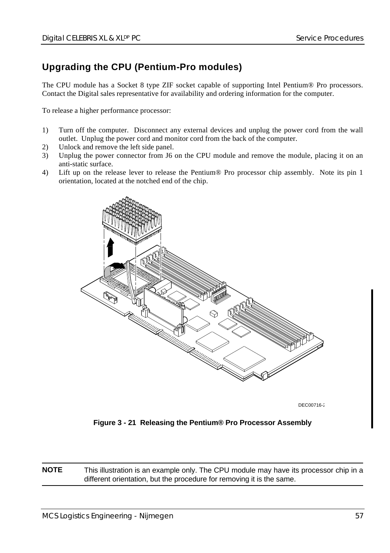#### **Upgrading the CPU (Pentium-Pro modules)**

The CPU module has a Socket 8 type ZIF socket capable of supporting Intel Pentium® Pro processors. Contact the Digital sales representative for availability and ordering information for the computer.

To release a higher performance processor:

- 1) Turn off the computer. Disconnect any external devices and unplug the power cord from the wall outlet. Unplug the power cord and monitor cord from the back of the computer.
- 2) Unlock and remove the left side panel.
- 3) Unplug the power connector from J6 on the CPU module and remove the module, placing it on an anti-static surface.
- 4) Lift up on the release lever to release the Pentium® Pro processor chip assembly. Note its pin 1 orientation, located at the notched end of the chip.



DEC00716-2

**Figure 3 - 21 Releasing the Pentium® Pro Processor Assembly**

**NOTE** This illustration is an example only. The CPU module may have its processor chip in a different orientation, but the procedure for removing it is the same.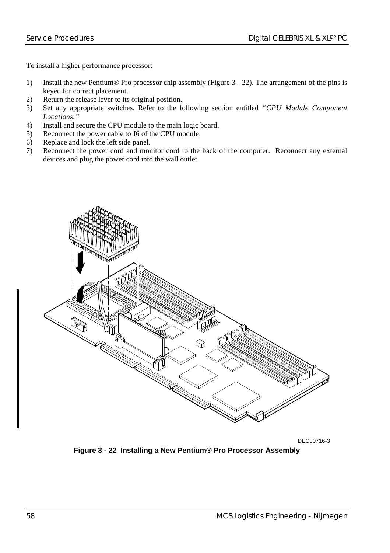To install a higher performance processor:

- 1) Install the new Pentium® Pro processor chip assembly (Figure 3 22). The arrangement of the pins is keyed for correct placement.
- 2) Return the release lever to its original position.
- 3) Set any appropriate switches. Refer to the following section entitled *"CPU Module Component Locations."*
- 4) Install and secure the CPU module to the main logic board.
- 5) Reconnect the power cable to J6 of the CPU module.
- 6) Replace and lock the left side panel.
- 7) Reconnect the power cord and monitor cord to the back of the computer. Reconnect any external devices and plug the power cord into the wall outlet.



DEC00716-3

**Figure 3 - 22 Installing a New Pentium® Pro Processor Assembly**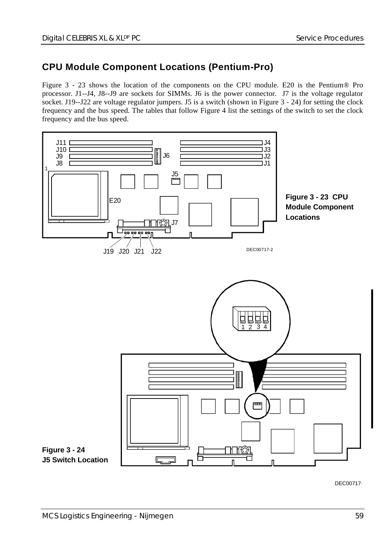#### **CPU Module Component Locations (Pentium-Pro)**

Figure 3 - 23 shows the location of the components on the CPU module. E20 is the Pentium® Pro processor. J1--J4, J8--J9 are sockets for SIMMs. J6 is the power connector. J7 is the voltage regulator socket. J19--J22 are voltage regulator jumpers. J5 is a switch (shown in Figure 3 - 24) for setting the clock frequency and the bus speed. The tables that follow Figure 4 list the settings of the switch to set the clock frequency and the bus speed.



DEC00717-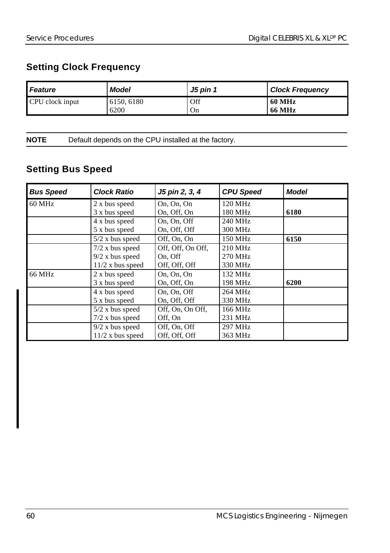## **Setting Clock Frequency**

| <b>Feature</b>  | Model      | <b>J5 pin 1</b> | <b>Clock Frequency</b> |
|-----------------|------------|-----------------|------------------------|
| CPU clock input | 6150, 6180 | Off             | 60 MHz                 |
|                 | 6200       | On              | <b>66 MHz</b>          |

**NOTE** Default depends on the CPU installed at the factory.

## **Setting Bus Speed**

| <b>Bus Speed</b> | <b>Clock Ratio</b> | J5 pin 2, 3, 4    | <b>CPU Speed</b>  | <b>Model</b> |
|------------------|--------------------|-------------------|-------------------|--------------|
| 60 MHz           | 2 x bus speed      | On, On, On        | $120 \text{ MHz}$ |              |
|                  | 3 x bus speed      | On, Off, On       | 180 MHz           | 6180         |
|                  | 4 x bus speed      | On. On. Off       | 240 MHz           |              |
|                  | 5 x bus speed      | On, Off, Off      | 300 MHz           |              |
|                  | $5/2$ x bus speed  | Off, On, On       | $150 \text{ MHz}$ | 6150         |
|                  | $7/2$ x bus speed  | Off, Off, On Off, | 210 MHz           |              |
|                  | $9/2$ x bus speed  | On, Off           | 270 MHz           |              |
|                  | $11/2$ x bus speed | Off, Off, Off     | 330 MHz           |              |
| 66 MHz           | 2 x bus speed      | On, On, On        | 132 MHz           |              |
|                  | 3 x bus speed      | On, Off, On       | 198 MHz           | 6200         |
|                  | 4 x bus speed      | On, On, Off       | 264 MHz           |              |
|                  | 5 x bus speed      | On, Off, Off      | 330 MHz           |              |
|                  | $5/2$ x bus speed  | Off, On, On Off,  | 166 MHz           |              |
|                  | $7/2$ x bus speed  | Off, On           | 231 MHz           |              |
|                  | $9/2$ x bus speed  | Off, On, Off      | 297 MHz           |              |
|                  | $11/2$ x bus speed | Off, Off, Off     | 363 MHz           |              |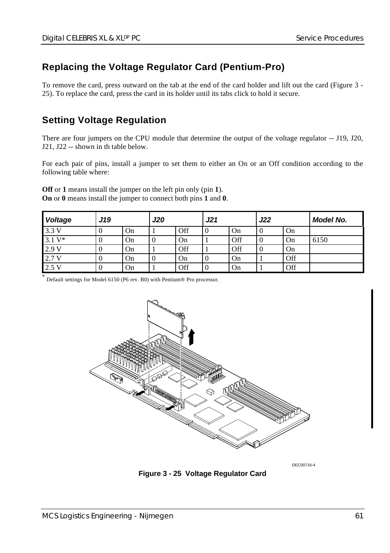#### **Replacing the Voltage Regulator Card (Pentium-Pro)**

To remove the card, press outward on the tab at the end of the card holder and lift out the card (Figure 3 - 25). To replace the card, press the card in its holder until its tabs click to hold it secure.

#### **Setting Voltage Regulation**

There are four jumpers on the CPU module that determine the output of the voltage regulator -- J19, J20, J21, J22 -- shown in th table below.

For each pair of pins, install a jumper to set them to either an On or an Off condition according to the following table where:

**Off** or **1** means install the jumper on the left pin only (pin **1**). **On** or **0** means install the jumper to connect both pins **1** and **0**.

| Voltage  | J19 |    | J21<br><b>J20</b> |     | J22 |     | Model No. |     |      |
|----------|-----|----|-------------------|-----|-----|-----|-----------|-----|------|
| 3.3V     |     | On |                   | Off | υ   | On  | v         | On  |      |
| $3.1 V*$ |     | On | O                 | On  |     | Off | v         | On  | 6150 |
| 2.9V     |     | On |                   | Off |     | Off |           | On  |      |
| 2.7 V    |     | On | 0                 | On  | v   | On  |           | Off |      |
| 2.5V     |     | On |                   | Off | v   | On  |           | Off |      |

\* Default settings for Model 6150 (P6 rev. B0) with Pentium® Pro processor.



DEC00716-4

**Figure 3 - 25 Voltage Regulator Card**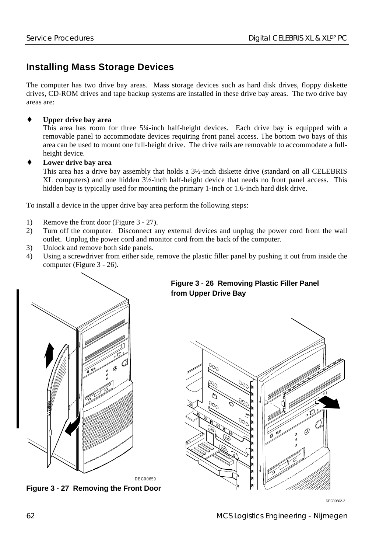#### **Installing Mass Storage Devices**

The computer has two drive bay areas. Mass storage devices such as hard disk drives, floppy diskette drives, CD-ROM drives and tape backup systems are installed in these drive bay areas. The two drive bay areas are:

#### **Upper drive bay area**

This area has room for three 5¼-inch half-height devices. Each drive bay is equipped with a removable panel to accommodate devices requiring front panel access. The bottom two bays of this area can be used to mount one full-height drive. The drive rails are removable to accommodate a fullheight device.

#### **Lower drive bay area**

This area has a drive bay assembly that holds a 3½-inch diskette drive (standard on all CELEBRIS XL computers) and one hidden 3½-inch half-height device that needs no front panel access. This hidden bay is typically used for mounting the primary 1-inch or 1.6-inch hard disk drive.

To install a device in the upper drive bay area perform the following steps:

- 1) Remove the front door (Figure 3 27).
- 2) Turn off the computer. Disconnect any external devices and unplug the power cord from the wall outlet. Unplug the power cord and monitor cord from the back of the computer.
- 3) Unlock and remove both side panels.
- 4) Using a screwdriver from either side, remove the plastic filler panel by pushing it out from inside the computer (Figure 3 - 26).



**Figure 3 - 27 Removing the Front Door**

#### **Figure 3 - 26 Removing Plastic Filler Panel from Upper Drive Bay**



DECO0662-2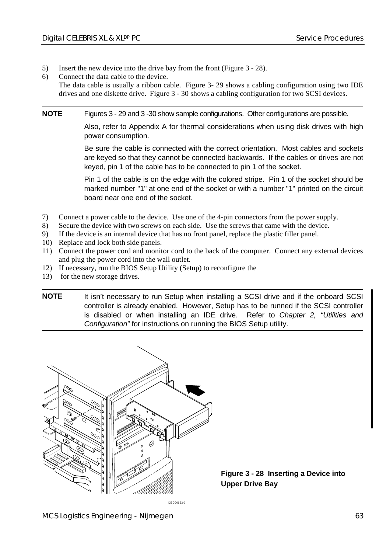- 5) Insert the new device into the drive bay from the front (Figure 3 28).
- 6) Connect the data cable to the device.

The data cable is usually a ribbon cable. Figure 3- 29 shows a cabling configuration using two IDE drives and one diskette drive. Figure 3 - 30 shows a cabling configuration for two SCSI devices.

**NOTE** Figures 3 - 29 and 3 -30 show sample configurations. Other configurations are possible.

Also, refer to Appendix A for thermal considerations when using disk drives with high power consumption.

Be sure the cable is connected with the correct orientation. Most cables and sockets are keyed so that they cannot be connected backwards. If the cables or drives are not keyed, pin 1 of the cable has to be connected to pin 1 of the socket.

Pin 1 of the cable is on the edge with the colored stripe. Pin 1 of the socket should be marked number "1" at one end of the socket or with a number "1" printed on the circuit board near one end of the socket.

- 7) Connect a power cable to the device. Use one of the 4-pin connectors from the power supply.
- 8) Secure the device with two screws on each side. Use the screws that came with the device.
- 9) If the device is an internal device that has no front panel, replace the plastic filler panel.
- 10) Replace and lock both side panels.
- 11) Connect the power cord and monitor cord to the back of the computer. Connect any external devices and plug the power cord into the wall outlet.
- 12) If necessary, run the BIOS Setup Utility (Setup) to reconfigure the
- 13) for the new storage drives.
- **NOTE** It isn't necessary to run Setup when installing a SCSI drive and if the onboard SCSI controller is already enabled. However, Setup has to be runned if the SCSI controller is disabled or when installing an IDE drive. Refer to Chapter 2, "Utilities and Configuration" for instructions on running the BIOS Setup utility.



**Figure 3 - 28 Inserting a Device into Upper Drive Bay**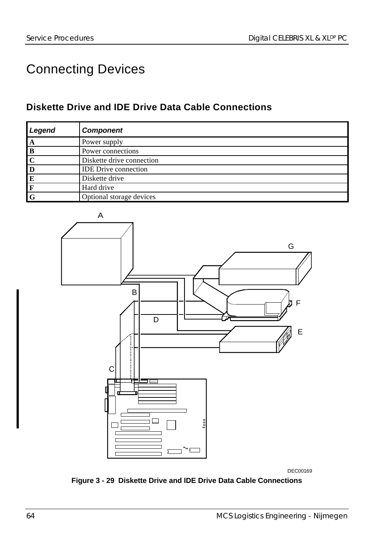# Connecting Devices

## **Diskette Drive and IDE Drive Data Cable Connections**

| Legend                  | <b>Component</b>            |
|-------------------------|-----------------------------|
| $\mathbf{A}$            | Power supply                |
| B                       | Power connections           |
| $\overline{\mathbf{c}}$ | Diskette drive connection   |
| $\overline{\mathbf{D}}$ | <b>IDE</b> Drive connection |
| E                       | Diskette drive              |
| F                       | Hard drive                  |
| l G                     | Optional storage devices    |



DEC00169

**Figure 3 - 29 Diskette Drive and IDE Drive Data Cable Connections**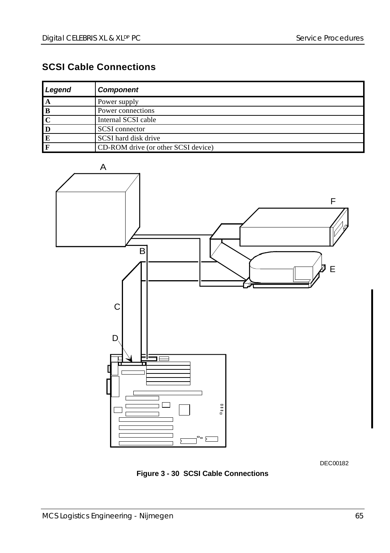## **SCSI Cable Connections**

| Legend      | <b>Component</b>                    |
|-------------|-------------------------------------|
| A           | Power supply                        |
| l B         | Power connections                   |
|             | Internal SCSI cable                 |
| $\mathbf D$ | <b>SCSI</b> connector               |
| E           | SCSI hard disk drive                |
|             | CD-ROM drive (or other SCSI device) |



DEC00182

**Figure 3 - 30 SCSI Cable Connections**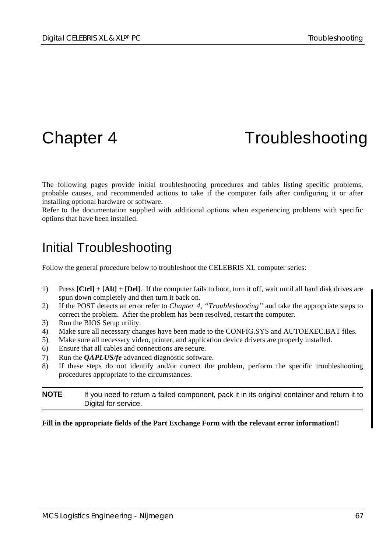# Chapter 4 Troubleshooting

The following pages provide initial troubleshooting procedures and tables listing specific problems, probable causes, and recommended actions to take if the computer fails after configuring it or after installing optional hardware or software.

Refer to the documentation supplied with additional options when experiencing problems with specific options that have been installed.

## Initial Troubleshooting

Follow the general procedure below to troubleshoot the CELEBRIS XL computer series:

- 1) Press **[Ctrl] + [Alt] + [Del]**. If the computer fails to boot, turn it off, wait until all hard disk drives are spun down completely and then turn it back on.
- 2) If the POST detects an error refer to *Chapter 4, "Troubleshooting"* and take the appropriate steps to correct the problem. After the problem has been resolved, restart the computer.
- 3) Run the BIOS Setup utility.
- 4) Make sure all necessary changes have been made to the CONFIG.SYS and AUTOEXEC.BAT files.
- 5) Make sure all necessary video, printer, and application device drivers are properly installed.
- 6) Ensure that all cables and connections are secure.
- 7) Run the *QAPLUS/fe* advanced diagnostic software.
- 8) If these steps do not identify and/or correct the problem, perform the specific troubleshooting procedures appropriate to the circumstances.

**NOTE** If you need to return a failed component, pack it in its original container and return it to Digital for service.

#### **Fill in the appropriate fields of the Part Exchange Form with the relevant error information!!**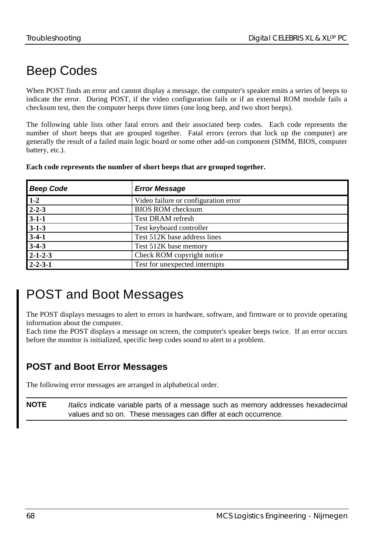# Beep Codes

When POST finds an error and cannot display a message, the computer's speaker emits a series of beeps to indicate the error. During POST, if the video configuration fails or if an external ROM module fails a checksum test, then the computer beeps three times (one long beep, and two short beeps).

The following table lists other fatal errors and their associated beep codes. Each code represents the number of short beeps that are grouped together. Fatal errors (errors that lock up the computer) are generally the result of a failed main logic board or some other add-on component (SIMM, BIOS, computer battery, etc.).

|  | Each code represents the number of short beeps that are grouped together. |  |  |  |  |  |  |
|--|---------------------------------------------------------------------------|--|--|--|--|--|--|
|  |                                                                           |  |  |  |  |  |  |

| <b>Beep Code</b> | <b>Error Message</b>                 |  |  |
|------------------|--------------------------------------|--|--|
| $1-2$            | Video failure or configuration error |  |  |
| $2 - 2 - 3$      | <b>BIOS ROM</b> checksum             |  |  |
| $3-1-1$          | Test DRAM refresh                    |  |  |
| $3 - 1 - 3$      | Test keyboard controller             |  |  |
| $3-4-1$          | Test 512K base address lines         |  |  |
| $3-4-3$          | Test 512K base memory                |  |  |
| $2 - 1 - 2 - 3$  | Check ROM copyright notice           |  |  |
| $2 - 2 - 3 - 1$  | Test for unexpected interrupts       |  |  |

## POST and Boot Messages

The POST displays messages to alert to errors in hardware, software, and firmware or to provide operating information about the computer.

Each time the POST displays a message on screen, the computer's speaker beeps twice. If an error occurs before the monitor is initialized, specific beep codes sound to alert to a problem.

## **POST and Boot Error Messages**

The following error messages are arranged in alphabetical order.

**NOTE** *Italics* indicate variable parts of a message such as memory addresses hexadecimal values and so on. These messages can differ at each occurrence.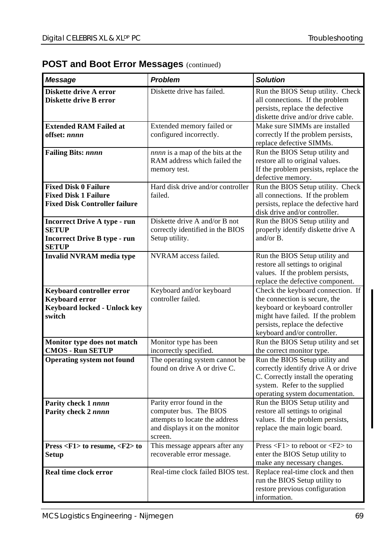#### **POST and Boot Error Messages (continued)**

| Message                                                                                                    | <b>Problem</b>                                                                                                                     | <b>Solution</b>                                                                                                                                                                                              |
|------------------------------------------------------------------------------------------------------------|------------------------------------------------------------------------------------------------------------------------------------|--------------------------------------------------------------------------------------------------------------------------------------------------------------------------------------------------------------|
| Diskette drive A error<br>Diskette drive B error                                                           | Diskette drive has failed.                                                                                                         | Run the BIOS Setup utility. Check<br>all connections. If the problem<br>persists, replace the defective<br>diskette drive and/or drive cable.                                                                |
| <b>Extended RAM Failed at</b><br>offset: nnnn                                                              | Extended memory failed or<br>configured incorrectly.                                                                               | Make sure SIMMs are installed<br>correctly If the problem persists,<br>replace defective SIMMs.                                                                                                              |
| <b>Failing Bits: nnnn</b>                                                                                  | nnnn is a map of the bits at the<br>RAM address which failed the<br>memory test.                                                   | Run the BIOS Setup utility and<br>restore all to original values.<br>If the problem persists, replace the<br>defective memory.                                                                               |
| <b>Fixed Disk 0 Failure</b><br><b>Fixed Disk 1 Failure</b><br><b>Fixed Disk Controller failure</b>         | Hard disk drive and/or controller<br>failed.                                                                                       | Run the BIOS Setup utility. Check<br>all connections. If the problem<br>persists, replace the defective hard<br>disk drive and/or controller.                                                                |
| <b>Incorrect Drive A type - run</b><br><b>SETUP</b><br><b>Incorrect Drive B type - run</b><br><b>SETUP</b> | Diskette drive A and/or B not<br>correctly identified in the BIOS<br>Setup utility.                                                | Run the BIOS Setup utility and<br>properly identify diskette drive A<br>and/or B.                                                                                                                            |
| <b>Invalid NVRAM</b> media type                                                                            | NVRAM access failed.                                                                                                               | Run the BIOS Setup utility and<br>restore all settings to original<br>values. If the problem persists,<br>replace the defective component.                                                                   |
| Keyboard controller error<br><b>Keyboard error</b><br>Keyboard locked - Unlock key<br>switch               | Keyboard and/or keyboard<br>controller failed.                                                                                     | Check the keyboard connection. If<br>the connection is secure, the<br>keyboard or keyboard controller<br>might have failed. If the problem<br>persists, replace the defective<br>keyboard and/or controller. |
| Monitor type does not match<br><b>CMOS - Run SETUP</b>                                                     | Monitor type has been<br>incorrectly specified.                                                                                    | Run the BIOS Setup utility and set<br>the correct monitor type.                                                                                                                                              |
| <b>Operating system not found</b>                                                                          | The operating system cannot be<br>found on drive A or drive C.                                                                     | Run the BIOS Setup utility and<br>correctly identify drive A or drive<br>C. Correctly install the operating<br>system. Refer to the supplied<br>operating system documentation.                              |
| Parity check 1 nnnn<br>Parity check 2 nnnn                                                                 | Parity error found in the<br>computer bus. The BIOS<br>attempts to locate the address<br>and displays it on the monitor<br>screen. | Run the BIOS Setup utility and<br>restore all settings to original<br>values. If the problem persists,<br>replace the main logic board.                                                                      |
| Press <f1> to resume, <f2> to<br/><b>Setup</b></f2></f1>                                                   | This message appears after any<br>recoverable error message.                                                                       | Press $\langle F1 \rangle$ to reboot or $\langle F2 \rangle$ to<br>enter the BIOS Setup utility to<br>make any necessary changes.                                                                            |
| Real time clock error                                                                                      | Real-time clock failed BIOS test.                                                                                                  | Replace real-time clock and then<br>run the BIOS Setup utility to<br>restore previous configuration<br>information.                                                                                          |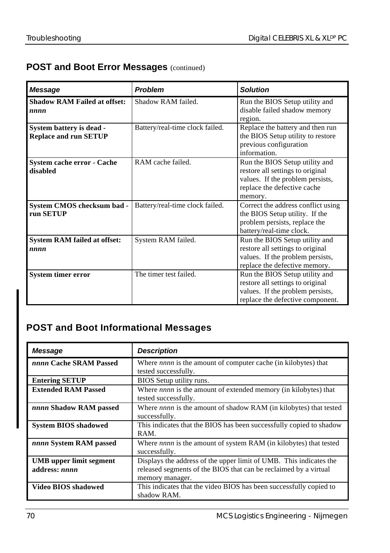#### **POST and Boot Error Messages (continued)**

| Message                                                  | Problem                         | <b>Solution</b>                                                                                                                                  |
|----------------------------------------------------------|---------------------------------|--------------------------------------------------------------------------------------------------------------------------------------------------|
| <b>Shadow RAM Failed at offset:</b><br>nnnn              | Shadow RAM failed.              | Run the BIOS Setup utility and<br>disable failed shadow memory<br>region.                                                                        |
| System battery is dead -<br><b>Replace and run SETUP</b> | Battery/real-time clock failed. | Replace the battery and then run<br>the BIOS Setup utility to restore<br>previous configuration<br>information                                   |
| <b>System cache error - Cache</b><br>disabled            | RAM cache failed.               | Run the BIOS Setup utility and<br>restore all settings to original<br>values. If the problem persists,<br>replace the defective cache<br>memory. |
| System CMOS checksum bad -<br>run SETUP                  | Battery/real-time clock failed. | Correct the address conflict using<br>the BIOS Setup utility. If the<br>problem persists, replace the<br>battery/real-time clock.                |
| <b>System RAM failed at offset:</b><br>nnnn              | System RAM failed.              | Run the BIOS Setup utility and<br>restore all settings to original<br>values. If the problem persists,<br>replace the defective memory.          |
| <b>System timer error</b>                                | The timer test failed.          | Run the BIOS Setup utility and<br>restore all settings to original<br>values. If the problem persists,<br>replace the defective component.       |

## **POST and Boot Informational Messages**

| Message                                         | <b>Description</b>                                                                                                                                        |
|-------------------------------------------------|-----------------------------------------------------------------------------------------------------------------------------------------------------------|
| nnnn Cache SRAM Passed                          | Where <i>nnnn</i> is the amount of computer cache (in kilobytes) that<br>tested successfully.                                                             |
| <b>Entering SETUP</b>                           | BIOS Setup utility runs.                                                                                                                                  |
| <b>Extended RAM Passed</b>                      | Where <i>nnnn</i> is the amount of extended memory (in kilobytes) that<br>tested successfully.                                                            |
| nnnn Shadow RAM passed                          | Where <i>nnnn</i> is the amount of shadow RAM (in kilobytes) that tested<br>successfully.                                                                 |
| <b>System BIOS shadowed</b>                     | This indicates that the BIOS has been successfully copied to shadow<br>RAM.                                                                               |
| nnnn System RAM passed                          | Where <i>nnnn</i> is the amount of system RAM (in kilobytes) that tested<br>successfully.                                                                 |
| <b>UMB</b> upper limit segment<br>address: nnnn | Displays the address of the upper limit of UMB. This indicates the<br>released segments of the BIOS that can be reclaimed by a virtual<br>memory manager. |
| Video BIOS shadowed                             | This indicates that the video BIOS has been successfully copied to<br>shadow RAM.                                                                         |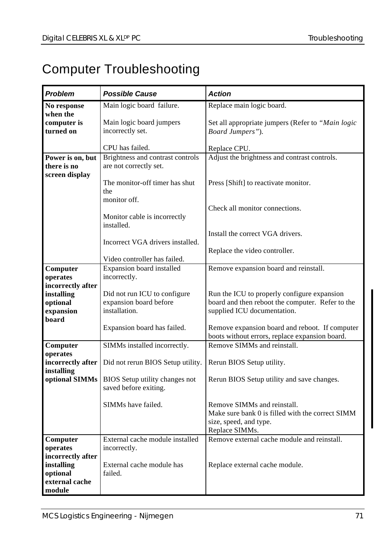# Computer Troubleshooting

| <b>Problem</b>                  | <b>Possible Cause</b>                        | <b>Action</b>                                                                 |
|---------------------------------|----------------------------------------------|-------------------------------------------------------------------------------|
| No response                     | Main logic board failure.                    | Replace main logic board.                                                     |
| when the                        |                                              |                                                                               |
| computer is<br>turned on        | Main logic board jumpers<br>incorrectly set. | Set all appropriate jumpers (Refer to "Main logic<br>Board Jumpers").         |
|                                 |                                              |                                                                               |
|                                 | CPU has failed.                              | Replace CPU.                                                                  |
| Power is on, but                | Brightness and contrast controls             | Adjust the brightness and contrast controls.                                  |
| there is no<br>screen display   | are not correctly set.                       |                                                                               |
|                                 | The monitor-off timer has shut               | Press [Shift] to reactivate monitor.                                          |
|                                 | the                                          |                                                                               |
|                                 | monitor off.                                 |                                                                               |
|                                 |                                              | Check all monitor connections.                                                |
|                                 | Monitor cable is incorrectly                 |                                                                               |
|                                 | installed.                                   | Install the correct VGA drivers.                                              |
|                                 | Incorrect VGA drivers installed.             |                                                                               |
|                                 |                                              | Replace the video controller.                                                 |
|                                 | Video controller has failed.                 |                                                                               |
| Computer                        | Expansion board installed                    | Remove expansion board and reinstall.                                         |
| operates                        | incorrectly.                                 |                                                                               |
| incorrectly after<br>installing | Did not run ICU to configure                 | Run the ICU to properly configure expansion                                   |
| optional                        | expansion board before                       | board and then reboot the computer. Refer to the                              |
| expansion                       | installation.                                | supplied ICU documentation.                                                   |
| board                           |                                              |                                                                               |
|                                 | Expansion board has failed.                  | Remove expansion board and reboot. If computer                                |
|                                 | SIMMs installed incorrectly.                 | boots without errors, replace expansion board.<br>Remove SIMMs and reinstall. |
| Computer<br>operates            |                                              |                                                                               |
| incorrectly after               | Did not rerun BIOS Setup utility.            | Rerun BIOS Setup utility.                                                     |
| installing                      |                                              |                                                                               |
| optional SIMMs                  | BIOS Setup utility changes not               | Rerun BIOS Setup utility and save changes.                                    |
|                                 | saved before exiting.                        |                                                                               |
|                                 | SIMMs have failed.                           | Remove SIMMs and reinstall.                                                   |
|                                 |                                              | Make sure bank 0 is filled with the correct SIMM                              |
|                                 |                                              | size, speed, and type.                                                        |
|                                 |                                              | Replace SIMMs.                                                                |
| Computer                        | External cache module installed              | Remove external cache module and reinstall.                                   |
| operates<br>incorrectly after   | incorrectly.                                 |                                                                               |
| installing                      | External cache module has                    | Replace external cache module.                                                |
| optional                        | failed.                                      |                                                                               |
| external cache                  |                                              |                                                                               |
| module                          |                                              |                                                                               |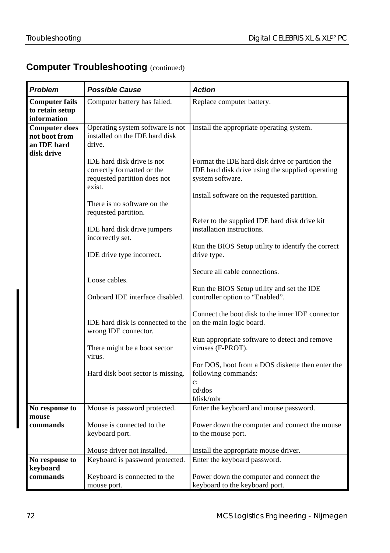## **Computer Troubleshooting (continued)**

| Problem                                                            | <b>Possible Cause</b>                                                                              | <b>Action</b>                                                                                                           |
|--------------------------------------------------------------------|----------------------------------------------------------------------------------------------------|-------------------------------------------------------------------------------------------------------------------------|
| <b>Computer fails</b><br>to retain setup<br>information            | Computer battery has failed.                                                                       | Replace computer battery.                                                                                               |
| <b>Computer does</b><br>not boot from<br>an IDE hard<br>disk drive | Operating system software is not<br>installed on the IDE hard disk<br>drive.                       | Install the appropriate operating system.                                                                               |
|                                                                    | IDE hard disk drive is not<br>correctly formatted or the<br>requested partition does not<br>exist. | Format the IDE hard disk drive or partition the<br>IDE hard disk drive using the supplied operating<br>system software. |
|                                                                    | There is no software on the<br>requested partition.                                                | Install software on the requested partition.                                                                            |
|                                                                    | IDE hard disk drive jumpers<br>incorrectly set.                                                    | Refer to the supplied IDE hard disk drive kit<br>installation instructions.                                             |
|                                                                    | IDE drive type incorrect.                                                                          | Run the BIOS Setup utility to identify the correct<br>drive type.<br>Secure all cable connections.                      |
|                                                                    | Loose cables.<br>Onboard IDE interface disabled.                                                   | Run the BIOS Setup utility and set the IDE<br>controller option to "Enabled".                                           |
|                                                                    | IDE hard disk is connected to the                                                                  | Connect the boot disk to the inner IDE connector<br>on the main logic board.                                            |
|                                                                    | wrong IDE connector.                                                                               | Run appropriate software to detect and remove<br>viruses (F-PROT).                                                      |
|                                                                    | There might be a boot sector<br>virus.                                                             | For DOS, boot from a DOS diskette then enter the                                                                        |
|                                                                    | Hard disk boot sector is missing.                                                                  | following commands:<br>$\ddot{c}$ :<br>cd\dos<br>fdisk/mbr                                                              |
| No response to                                                     | Mouse is password protected.                                                                       | Enter the keyboard and mouse password.                                                                                  |
| mouse<br>commands                                                  | Mouse is connected to the<br>keyboard port.                                                        | Power down the computer and connect the mouse<br>to the mouse port.                                                     |
|                                                                    | Mouse driver not installed.                                                                        | Install the appropriate mouse driver.                                                                                   |
| No response to                                                     | Keyboard is password protected.                                                                    | Enter the keyboard password.                                                                                            |
| keyboard<br>commands                                               | Keyboard is connected to the<br>mouse port.                                                        | Power down the computer and connect the<br>keyboard to the keyboard port.                                               |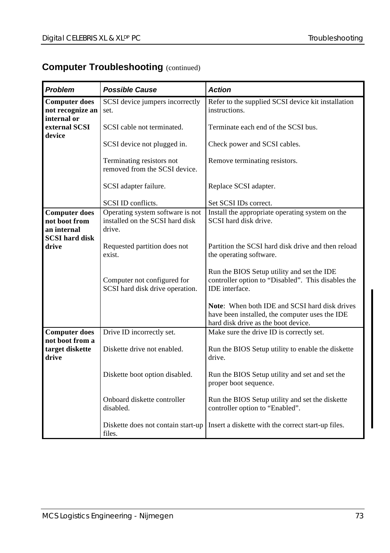#### **Computer Troubleshooting (continued)**

| Problem                                                                       | <b>Possible Cause</b>                                                         | <b>Action</b>                                                                                                                          |  |  |
|-------------------------------------------------------------------------------|-------------------------------------------------------------------------------|----------------------------------------------------------------------------------------------------------------------------------------|--|--|
| <b>Computer does</b><br>not recognize an<br>internal or                       | SCSI device jumpers incorrectly<br>set.                                       | Refer to the supplied SCSI device kit installation<br>instructions.                                                                    |  |  |
| external SCSI<br>device                                                       | SCSI cable not terminated.                                                    | Terminate each end of the SCSI bus.                                                                                                    |  |  |
|                                                                               | SCSI device not plugged in.                                                   | Check power and SCSI cables.                                                                                                           |  |  |
|                                                                               | Terminating resistors not<br>removed from the SCSI device.                    | Remove terminating resistors.                                                                                                          |  |  |
|                                                                               | SCSI adapter failure.                                                         | Replace SCSI adapter.                                                                                                                  |  |  |
|                                                                               | SCSI ID conflicts.                                                            | Set SCSI IDs correct.                                                                                                                  |  |  |
| <b>Computer does</b><br>not boot from<br>an internal<br><b>SCSI</b> hard disk | Operating system software is not<br>installed on the SCSI hard disk<br>drive. | Install the appropriate operating system on the<br>SCSI hard disk drive.                                                               |  |  |
| drive                                                                         | Requested partition does not<br>exist.                                        | Partition the SCSI hard disk drive and then reload<br>the operating software.                                                          |  |  |
|                                                                               | Computer not configured for<br>SCSI hard disk drive operation.                | Run the BIOS Setup utility and set the IDE<br>controller option to "Disabled". This disables the<br><b>IDE</b> interface.              |  |  |
|                                                                               |                                                                               | Note: When both IDE and SCSI hard disk drives<br>have been installed, the computer uses the IDE<br>hard disk drive as the boot device. |  |  |
| <b>Computer does</b>                                                          | Drive ID incorrectly set.                                                     | Make sure the drive ID is correctly set.                                                                                               |  |  |
| not boot from a<br>target diskette<br>drive                                   | Diskette drive not enabled.                                                   | Run the BIOS Setup utility to enable the diskette<br>drive.                                                                            |  |  |
|                                                                               | Diskette boot option disabled.                                                | Run the BIOS Setup utility and set and set the<br>proper boot sequence.                                                                |  |  |
|                                                                               | Onboard diskette controller<br>disabled.                                      | Run the BIOS Setup utility and set the diskette<br>controller option to "Enabled".                                                     |  |  |
|                                                                               | Diskette does not contain start-up<br>files.                                  | Insert a diskette with the correct start-up files.                                                                                     |  |  |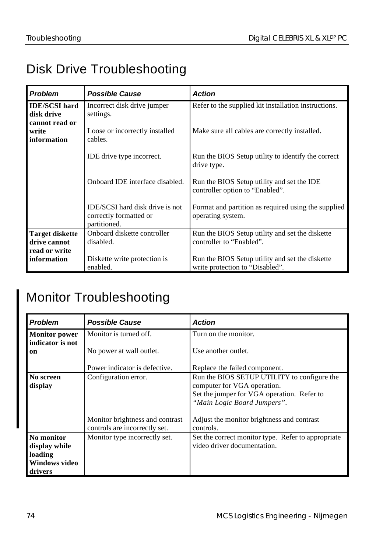# Disk Drive Troubleshooting

| <b>Problem</b>                                          | <b>Possible Cause</b>                                                     | <b>Action</b>                                                                      |
|---------------------------------------------------------|---------------------------------------------------------------------------|------------------------------------------------------------------------------------|
| <b>IDE/SCSI hard</b><br>disk drive                      | Incorrect disk drive jumper<br>settings.                                  | Refer to the supplied kit installation instructions.                               |
| cannot read or<br>write<br>information                  | Loose or incorrectly installed<br>cables.                                 | Make sure all cables are correctly installed.                                      |
|                                                         | IDE drive type incorrect.                                                 | Run the BIOS Setup utility to identify the correct<br>drive type.                  |
|                                                         | Onboard IDE interface disabled.                                           | Run the BIOS Setup utility and set the IDE<br>controller option to "Enabled".      |
|                                                         | IDE/SCSI hard disk drive is not<br>correctly formatted or<br>partitioned. | Format and partition as required using the supplied<br>operating system.           |
| <b>Target diskette</b><br>drive cannot<br>read or write | Onboard diskette controller<br>disabled.                                  | Run the BIOS Setup utility and set the diskette<br>controller to "Enabled".        |
| information                                             | Diskette write protection is<br>enabled.                                  | Run the BIOS Setup utility and set the diskette<br>write protection to "Disabled". |

# Monitor Troubleshooting

| <b>Problem</b>                                                            | <b>Possible Cause</b>                                            | <b>Action</b>                                                                                                                                           |
|---------------------------------------------------------------------------|------------------------------------------------------------------|---------------------------------------------------------------------------------------------------------------------------------------------------------|
| <b>Monitor power</b><br>indicator is not                                  | Monitor is turned off.                                           | Turn on the monitor.                                                                                                                                    |
| on                                                                        | No power at wall outlet.                                         | Use another outlet.                                                                                                                                     |
|                                                                           | Power indicator is defective.                                    | Replace the failed component.                                                                                                                           |
| No screen<br>display                                                      | Configuration error.                                             | Run the BIOS SETUP UTILITY to configure the<br>computer for VGA operation.<br>Set the jumper for VGA operation. Refer to<br>"Main Logic Board Jumpers". |
|                                                                           | Monitor brightness and contrast<br>controls are incorrectly set. | Adjust the monitor brightness and contrast<br>controls.                                                                                                 |
| No monitor<br>display while<br>loading<br><b>Windows video</b><br>drivers | Monitor type incorrectly set.                                    | Set the correct monitor type. Refer to appropriate<br>video driver documentation.                                                                       |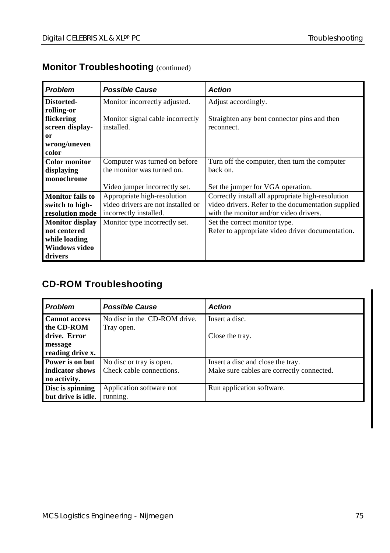| <b>Problem</b>          | <b>Possible Cause</b>              | <b>Action</b>                                      |
|-------------------------|------------------------------------|----------------------------------------------------|
| Distorted-              | Monitor incorrectly adjusted.      | Adjust accordingly.                                |
| rolling-or              |                                    |                                                    |
| flickering              | Monitor signal cable incorrectly   | Straighten any bent connector pins and then        |
| screen display-         | installed.                         | reconnect.                                         |
| or                      |                                    |                                                    |
| wrong/uneven            |                                    |                                                    |
| color                   |                                    |                                                    |
| <b>Color monitor</b>    | Computer was turned on before      | Turn off the computer, then turn the computer      |
| displaying              | the monitor was turned on.         | back on.                                           |
| monochrome              |                                    |                                                    |
|                         | Video jumper incorrectly set.      | Set the jumper for VGA operation.                  |
| <b>Monitor</b> fails to | Appropriate high-resolution        | Correctly install all appropriate high-resolution  |
| switch to high-         | video drivers are not installed or | video drivers. Refer to the documentation supplied |
| resolution mode         | incorrectly installed.             | with the monitor and/or video drivers.             |
| <b>Monitor display</b>  | Monitor type incorrectly set.      | Set the correct monitor type.                      |
| not centered            |                                    | Refer to appropriate video driver documentation.   |
| while loading           |                                    |                                                    |
| <b>Windows video</b>    |                                    |                                                    |
| drivers                 |                                    |                                                    |

## **Monitor Troubleshooting (continued)**

# **CD-ROM Troubleshooting**

| <b>Problem</b>       | <b>Possible Cause</b>        | <b>Action</b>                             |
|----------------------|------------------------------|-------------------------------------------|
| <b>Cannot access</b> | No disc in the CD-ROM drive. | Insert a disc.                            |
| the CD-ROM           | Tray open.                   |                                           |
| drive. Error         |                              | Close the tray.                           |
| message              |                              |                                           |
| reading drive x.     |                              |                                           |
| Power is on but      | No disc or tray is open.     | Insert a disc and close the tray.         |
| indicator shows      | Check cable connections.     | Make sure cables are correctly connected. |
| no activity.         |                              |                                           |
| Disc is spinning     | Application software not     | Run application software.                 |
| but drive is idle.   | running.                     |                                           |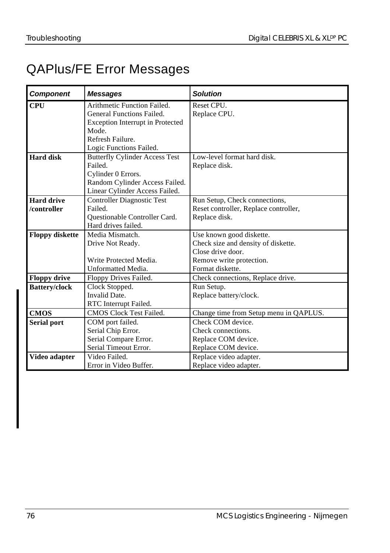# QAPlus/FE Error Messages

| <b>Component</b>       | <b>Messages</b>                       | <b>Solution</b>                        |
|------------------------|---------------------------------------|----------------------------------------|
| <b>CPU</b>             | Arithmetic Function Failed.           | Reset CPU.                             |
|                        | General Functions Failed.             | Replace CPU.                           |
|                        | Exception Interrupt in Protected      |                                        |
|                        | Mode.                                 |                                        |
|                        | Refresh Failure.                      |                                        |
|                        | Logic Functions Failed.               |                                        |
| Hard disk              | <b>Butterfly Cylinder Access Test</b> | Low-level format hard disk             |
|                        | <b>Failed</b>                         | Replace disk.                          |
|                        | Cylinder 0 Errors.                    |                                        |
|                        | Random Cylinder Access Failed.        |                                        |
|                        | Linear Cylinder Access Failed.        |                                        |
| <b>Hard drive</b>      | <b>Controller Diagnostic Test</b>     | Run Setup, Check connections,          |
| /controller            | Failed.                               | Reset controller, Replace controller,  |
|                        | Questionable Controller Card.         | Replace disk.                          |
|                        | Hard drives failed.                   |                                        |
| <b>Floppy diskette</b> | Media Mismatch.                       | Use known good diskette.               |
|                        | Drive Not Ready.                      | Check size and density of diskette.    |
|                        |                                       | Close drive door.                      |
|                        | Write Protected Media.                | Remove write protection.               |
|                        | Unformatted Media.                    | Format diskette.                       |
| <b>Floppy drive</b>    | Floppy Drives Failed.                 | Check connections, Replace drive.      |
| <b>Battery/clock</b>   | Clock Stopped.                        | Run Setup.                             |
|                        | Invalid Date.                         | Replace battery/clock.                 |
|                        | RTC Interrupt Failed.                 |                                        |
| <b>CMOS</b>            | <b>CMOS Clock Test Failed.</b>        | Change time from Setup menu in QAPLUS. |
| <b>Serial port</b>     | COM port failed.                      | Check COM device.                      |
|                        | Serial Chip Error.                    | Check connections.                     |
|                        | Serial Compare Error.                 | Replace COM device.                    |
|                        | Serial Timeout Error.                 | Replace COM device.                    |
| Video adapter          | Video Failed                          | Replace video adapter.                 |
|                        | Error in Video Buffer.                | Replace video adapter.                 |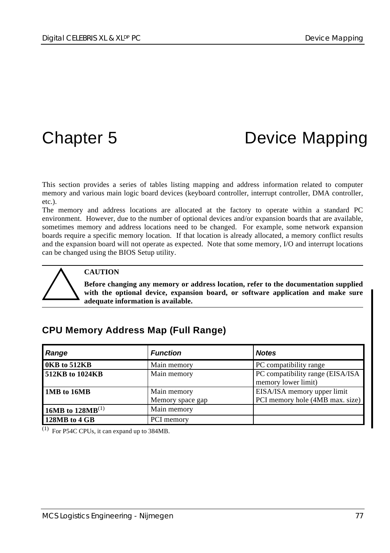# Chapter 5 Device Mapping

This section provides a series of tables listing mapping and address information related to computer memory and various main logic board devices (keyboard controller, interrupt controller, DMA controller, etc.).

The memory and address locations are allocated at the factory to operate within a standard PC environment. However, due to the number of optional devices and/or expansion boards that are available, sometimes memory and address locations need to be changed. For example, some network expansion boards require a specific memory location. If that location is already allocated, a memory conflict results and the expansion board will not operate as expected. Note that some memory, I/O and interrupt locations can be changed using the BIOS Setup utility.



#### **CAUTION**

**Before changing any memory or address location, refer to the documentation supplied with the optional device, expansion board, or software application and make sure adequate information is available.**

## **CPU Memory Address Map (Full Range)**

| Range                 | <b>Function</b>                 | <b>Notes</b>                                                   |
|-----------------------|---------------------------------|----------------------------------------------------------------|
| 0KB to 512KB          | Main memory                     | PC compatibility range                                         |
| 512KB to 1024KB       | Main memory                     | PC compatibility range (EISA/ISA<br>memory lower limit)        |
| 1MB to 16MB           | Main memory<br>Memory space gap | EISA/ISA memory upper limit<br>PCI memory hole (4MB max. size) |
| 16MB to $128MB^{(1)}$ | Main memory                     |                                                                |
| 128MB to 4 GB         | PCI memory                      |                                                                |

(1) For P54C CPUs, it can expand up to 384MB.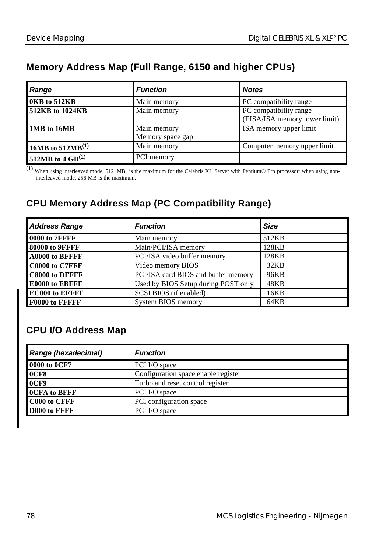## **Memory Address Map (Full Range, 6150 and higher CPUs)**

| Range                        | <b>Function</b>                 | <b>Notes</b>                                            |
|------------------------------|---------------------------------|---------------------------------------------------------|
| 0KB to 512KB                 | Main memory                     | PC compatibility range                                  |
| 512KB to 1024KB              | Main memory                     | PC compatibility range<br>(EISA/ISA memory lower limit) |
| 1MB to 16MB                  | Main memory<br>Memory space gap | ISA memory upper limit                                  |
| 16MB to 512MB <sup>(1)</sup> | Main memory                     | Computer memory upper limit                             |
| 512MB to 4 GB <sup>(1)</sup> | PCI memory                      |                                                         |

(1) When using interleaved mode, 512 MB is the maximum for the Celebris XL Server with Pentium® Pro processor; when using non interleaved mode, 256 MB is the maximum.

# **CPU Memory Address Map (PC Compatibility Range)**

| <b>Address Range</b>  | <b>Function</b>                     | <b>Size</b> |
|-----------------------|-------------------------------------|-------------|
| 0000 to 7FFFF         | Main memory                         | 512KB       |
| 80000 to 9FFFF        | Main/PCI/ISA memory                 | 128KB       |
| A0000 to BFFFF        | PCI/ISA video buffer memory         | 128KB       |
| C0000 to C7FFF        | Video memory BIOS                   | 32KB        |
| C8000 to DFFFF        | PCI/ISA card BIOS and buffer memory | 96KB        |
| E0000 to EBFFF        | Used by BIOS Setup during POST only | 48KB        |
| <b>EC000 to EFFFF</b> | SCSI BIOS (if enabled)              | 16KB        |
| <b>F0000 to FFFFF</b> | System BIOS memory                  | 64KB        |

# **CPU I/O Address Map**

| Range (hexadecimal) | <b>Function</b>                     |
|---------------------|-------------------------------------|
| 0000 to 0CF7        | PCI I/O space                       |
| 0CF8                | Configuration space enable register |
| 0CF9                | Turbo and reset control register    |
| <b>OCFA</b> to BFFF | PCI I/O space                       |
| C000 to CFFF        | PCI configuration space             |
| D000 to FFFF        | PCI I/O space                       |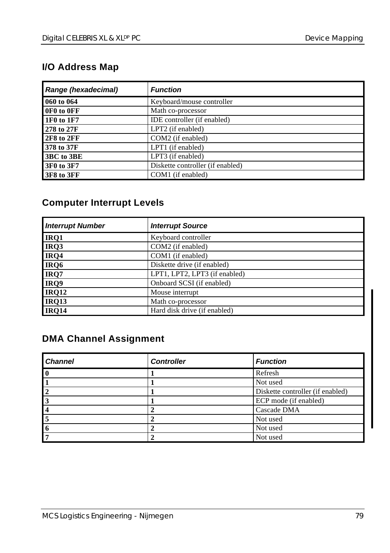## **I/O Address Map**

| Range (hexadecimal) | <b>Function</b>                  |
|---------------------|----------------------------------|
| 060 to 064          | Keyboard/mouse controller        |
| OF0 to OFF          | Math co-processor                |
| 1F0 to 1F7          | IDE controller (if enabled)      |
| 278 to 27F          | LPT2 (if enabled)                |
| 2F8 to 2FF          | COM2 (if enabled)                |
| 378 to 37F          | LPT1 (if enabled)                |
| 3BC to 3BE          | LPT3 (if enabled)                |
| 3F0 to 3F7          | Diskette controller (if enabled) |
| 3F8 to 3FF          | COM1 (if enabled)                |

## **Computer Interrupt Levels**

| <b>Interrupt Number</b> | <b>Interrupt Source</b>       |
|-------------------------|-------------------------------|
| IRQ1                    | Keyboard controller           |
| IRQ3                    | COM2 (if enabled)             |
| IRQ4                    | COM1 (if enabled)             |
| IRQ6                    | Diskette drive (if enabled)   |
| IRQ7                    | LPT1, LPT2, LPT3 (if enabled) |
| IRQ9                    | Onboard SCSI (if enabled)     |
| <b>IRQ12</b>            | Mouse interrupt               |
| <b>IRQ13</b>            | Math co-processor             |
| <b>IRO14</b>            | Hard disk drive (if enabled)  |

### **DMA Channel Assignment**

| <b>Channel</b> | <b>Controller</b> | <b>Function</b>                  |
|----------------|-------------------|----------------------------------|
|                |                   | Refresh                          |
|                |                   | Not used                         |
|                |                   | Diskette controller (if enabled) |
|                |                   | ECP mode (if enabled)            |
|                |                   | Cascade DMA                      |
|                |                   | Not used                         |
|                |                   | Not used                         |
|                |                   | Not used                         |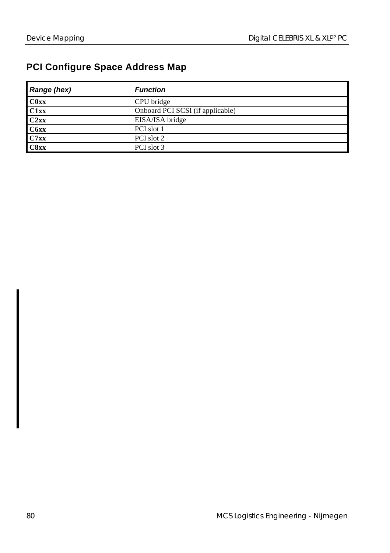## **PCI Configure Space Address Map**

| Range (hex) | <b>Function</b>                  |
|-------------|----------------------------------|
| C0xx        | CPU bridge                       |
| C1xx        | Onboard PCI SCSI (if applicable) |
| C2xx        | EISA/ISA bridge                  |
| C6xx        | PCI slot 1                       |
| C7xx        | PCI slot 2                       |
| C8xx        | PCI slot 3                       |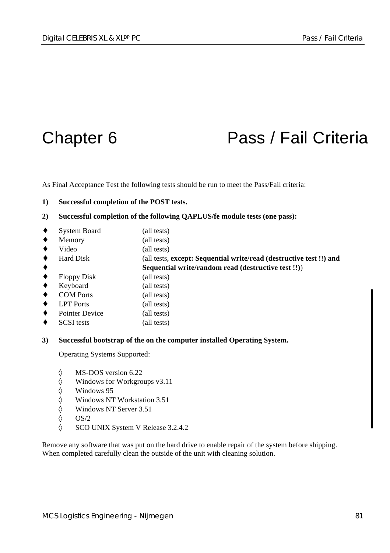# Chapter 6 **Pass / Fail Criteria**

As Final Acceptance Test the following tests should be run to meet the Pass/Fail criteria:

#### **1) Successful completion of the POST tests.**

- **2) Successful completion of the following QAPLUS/fe module tests (one pass):**
- System Board (all tests)
- Memory (all tests)
- Video (all tests)
- ♦ Hard Disk (all tests, **except: Sequential write/read (destructive test !!) and**
	- ♦ **Sequential write/random read (destructive test !!)**)
- ♦ Floppy Disk (all tests)
- Keyboard (all tests)
- COM Ports (all tests)
- ♦ LPT Ports (all tests)
- Pointer Device (all tests)
- SCSI tests (all tests)
- **3) Successful bootstrap of the on the computer installed Operating System.**

Operating Systems Supported:

- ◊ MS-DOS version 6.22
- ◊ Windows for Workgroups v3.11
- ◊ Windows 95
- ◊ Windows NT Workstation 3.51
- ◊ Windows NT Server 3.51
- $\lozenge$  OS/2
- ◊ SCO UNIX System V Release 3.2.4.2

Remove any software that was put on the hard drive to enable repair of the system before shipping. When completed carefully clean the outside of the unit with cleaning solution.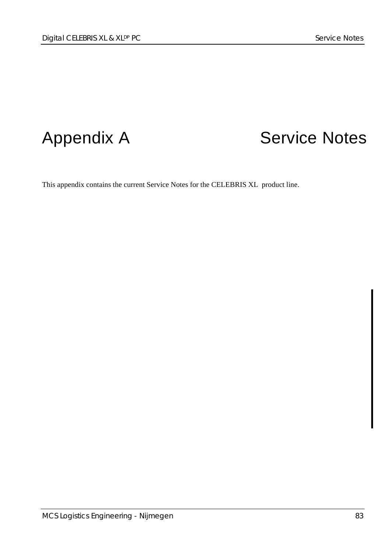# Appendix A Service Notes

This appendix contains the current Service Notes for the CELEBRIS XL product line.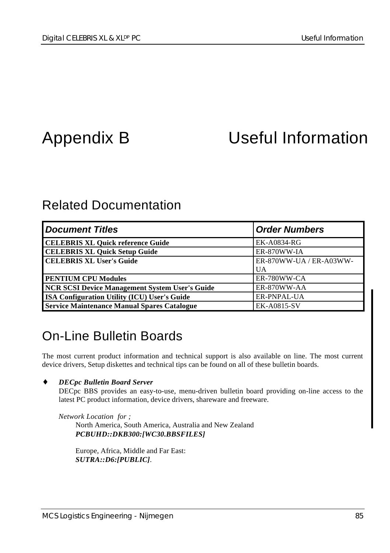# Appendix B Useful Information

# Related Documentation

| <b>Document Titles</b>                                | <b>Order Numbers</b>    |
|-------------------------------------------------------|-------------------------|
| <b>CELEBRIS XL Quick reference Guide</b>              | EK-A0834-RG             |
| <b>CELEBRIS XL Quick Setup Guide</b>                  | ER-870WW-IA             |
| <b>CELEBRIS XL User's Guide</b>                       | ER-870WW-UA / ER-A03WW- |
|                                                       | UA                      |
| <b>PENTIUM CPU Modules</b>                            | ER-780WW-CA             |
| <b>NCR SCSI Device Management System User's Guide</b> | ER-870WW-AA             |
| <b>ISA Configuration Utility (ICU) User's Guide</b>   | ER-PNPAL-UA             |
| <b>Service Maintenance Manual Spares Catalogue</b>    | <b>EK-A0815-SV</b>      |

# On-Line Bulletin Boards

The most current product information and technical support is also available on line. The most current device drivers, Setup diskettes and technical tips can be found on all of these bulletin boards.

#### ♦ *DECpc Bulletin Board Server*

DECpc BBS provides an easy-to-use, menu-driven bulletin board providing on-line access to the latest PC product information, device drivers, shareware and freeware.

*Network Location for ;* North America, South America, Australia and New Zealand *PCBUHD::DKB300:[WC30.BBSFILES]*

Europe, Africa, Middle and Far East: *SUTRA::D6:[PUBLIC]*.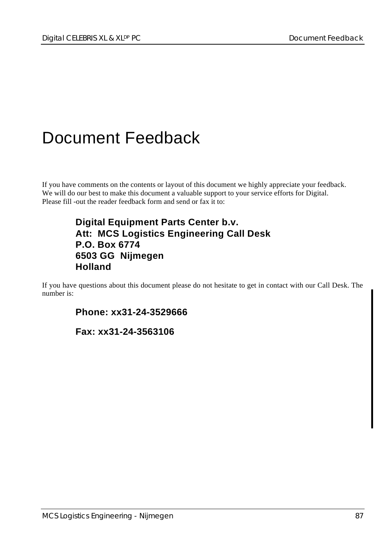# Document Feedback

If you have comments on the contents or layout of this document we highly appreciate your feedback. We will do our best to make this document a valuable support to your service efforts for Digital. Please fill -out the reader feedback form and send or fax it to:

### **Digital Equipment Parts Center b.v. Att: MCS Logistics Engineering Call Desk P.O. Box 6774 6503 GG Nijmegen Holland**

If you have questions about this document please do not hesitate to get in contact with our Call Desk. The number is:

**Phone: xx31-24-3529666**

**Fax: xx31-24-3563106**